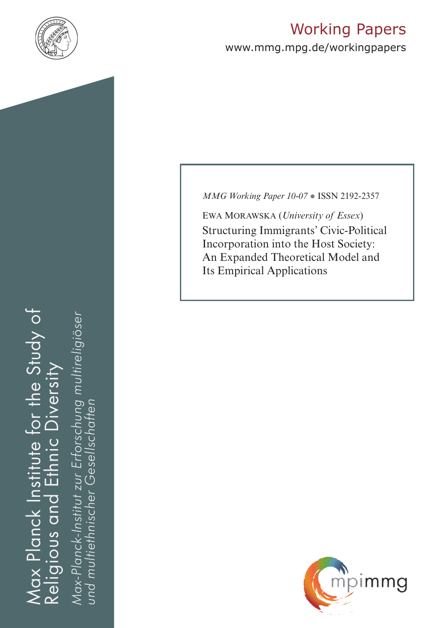

# Working Papers

www.mmg.mpg.de/workingpapers

# Max Planck Institute for the Study of Religious and Ethnic Diversity ax Planck Institute for the Study of nic Diversity ய் Religious and

*Max-Planck-Institut zur Erforschung multireligiöser*  öser Max-Planck-Institut zur Erforschung multireligi *und multiethnischer Gesellschaften*und multiethnischer Gesellschatter *MMG Working Paper 10-07* ● ISSN 2192-2357

Ewa Morawska (*University of Essex*) Structuring Immigrants' Civic-Political Incorporation into the Host Society: An Expanded Theoretical Model and Its Empirical Applications

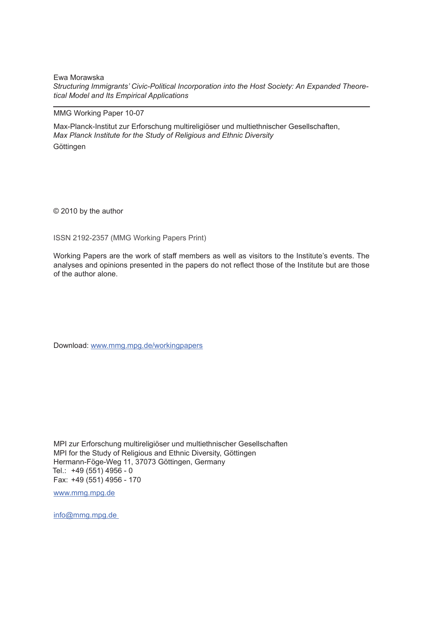Ewa Morawska *Structuring Immigrants' Civic-Political Incorporation into the Host Society: An Expanded Theoretical Model and Its Empirical Applications*

MMG Working Paper 10-07

Max-Planck-Institut zur Erforschung multireligiöser und multiethnischer Gesellschaften, *Max Planck Institute for the Study of Religious and Ethnic Diversity* Göttingen

© 2010 by the author

ISSN 2192-2357 (MMG Working Papers Print)

Working Papers are the work of staff members as well as visitors to the Institute's events. The analyses and opinions presented in the papers do not reflect those of the Institute but are those of the author alone.

Download: www.mmg.mpg.de/workingpapers

MPI zur Erforschung multireligiöser und multiethnischer Gesellschaften MPI for the Study of Religious and Ethnic Diversity, Göttingen Hermann-Föge-Weg 11, 37073 Göttingen, Germany Tel.: +49 (551) 4956 - 0 Fax: +49 (551) 4956 - 170

www.mmg.mpg.de

info@mmg.mpg.de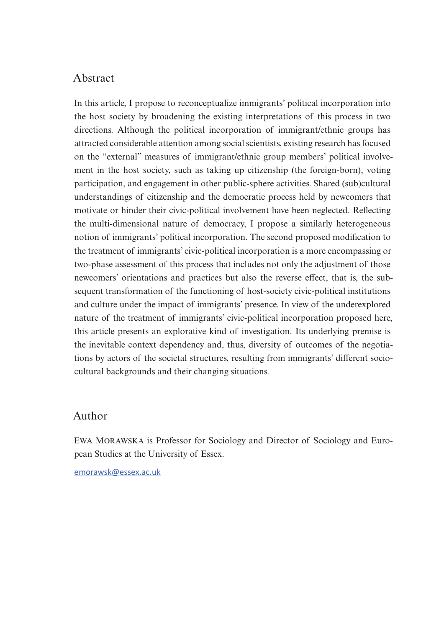# Abstract

In this article, I propose to reconceptualize immigrants' political incorporation into the host society by broadening the existing interpretations of this process in two directions. Although the political incorporation of immigrant/ethnic groups has attracted considerable attention among social scientists, existing research has focused on the "external" measures of immigrant/ethnic group members' political involvement in the host society, such as taking up citizenship (the foreign-born), voting participation, and engagement in other public-sphere activities. Shared (sub)cultural understandings of citizenship and the democratic process held by newcomers that motivate or hinder their civic-political involvement have been neglected. Reflecting the multi-dimensional nature of democracy, I propose a similarly heterogeneous notion of immigrants' political incorporation. The second proposed modification to the treatment of immigrants' civic-political incorporation is a more encompassing or two-phase assessment of this process that includes not only the adjustment of those newcomers' orientations and practices but also the reverse effect, that is, the subsequent transformation of the functioning of host-society civic-political institutions and culture under the impact of immigrants' presence. In view of the underexplored nature of the treatment of immigrants' civic-political incorporation proposed here, this article presents an explorative kind of investigation. Its underlying premise is the inevitable context dependency and, thus, diversity of outcomes of the negotiations by actors of the societal structures, resulting from immigrants' different sociocultural backgrounds and their changing situations.

# Author

Ewa Morawska is Professor for Sociology and Director of Sociology and European Studies at the University of Essex.

emorawsk@essex.ac.uk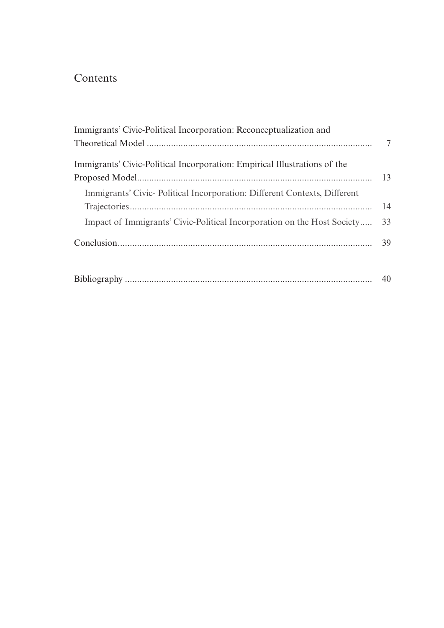# Contents

| Immigrants' Civic-Political Incorporation: Reconceptualization and        |    |
|---------------------------------------------------------------------------|----|
|                                                                           | 7  |
| Immigrants' Civic-Political Incorporation: Empirical Illustrations of the |    |
|                                                                           |    |
| Immigrants' Civic-Political Incorporation: Different Contexts, Different  |    |
|                                                                           | 14 |
| Impact of Immigrants' Civic-Political Incorporation on the Host Society   | 33 |
|                                                                           |    |
|                                                                           |    |
|                                                                           |    |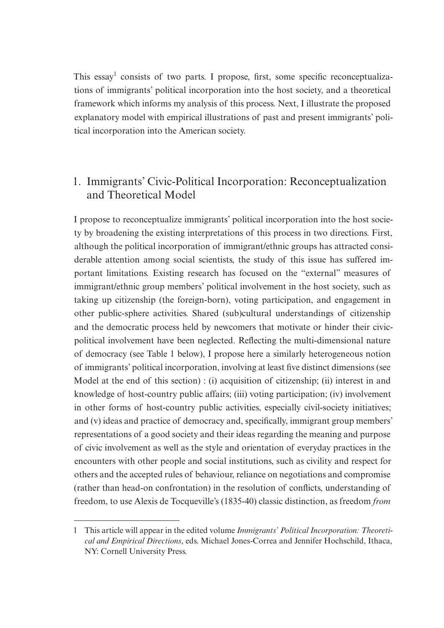This essay<sup>1</sup> consists of two parts. I propose, first, some specific reconceptualizations of immigrants' political incorporation into the host society, and a theoretical framework which informs my analysis of this process. Next, I illustrate the proposed explanatory model with empirical illustrations of past and present immigrants' political incorporation into the American society.

# 1. Immigrants' Civic-Political Incorporation: Reconceptualization and Theoretical Model

I propose to reconceptualize immigrants' political incorporation into the host society by broadening the existing interpretations of this process in two directions. First, although the political incorporation of immigrant/ethnic groups has attracted considerable attention among social scientists, the study of this issue has suffered important limitations. Existing research has focused on the "external" measures of immigrant/ethnic group members' political involvement in the host society, such as taking up citizenship (the foreign-born), voting participation, and engagement in other public-sphere activities. Shared (sub)cultural understandings of citizenship and the democratic process held by newcomers that motivate or hinder their civicpolitical involvement have been neglected. Reflecting the multi-dimensional nature of democracy (see Table 1 below), I propose here a similarly heterogeneous notion of immigrants' political incorporation, involving at least five distinct dimensions (see Model at the end of this section) : (i) acquisition of citizenship; (ii) interest in and knowledge of host-country public affairs; (iii) voting participation; (iv) involvement in other forms of host-country public activities, especially civil-society initiatives; and (v) ideas and practice of democracy and, specifically, immigrant group members' representations of a good society and their ideas regarding the meaning and purpose of civic involvement as well as the style and orientation of everyday practices in the encounters with other people and social institutions, such as civility and respect for others and the accepted rules of behaviour, reliance on negotiations and compromise (rather than head-on confrontation) in the resolution of conflicts, understanding of freedom, to use Alexis de Tocqueville's (1835-40) classic distinction, as freedom *from*

<sup>1</sup> This article will appear in the edited volume *Immigrants' Political Incorporation: Theoretical and Empirical Directions*, eds. Michael Jones-Correa and Jennifer Hochschild, Ithaca, NY: Cornell University Press.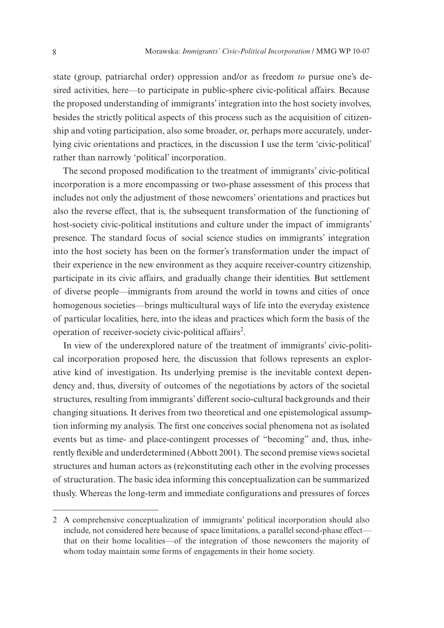state (group, patriarchal order) oppression and/or as freedom *to* pursue one's desired activities, here—to participate in public-sphere civic-political affairs. Because the proposed understanding of immigrants' integration into the host society involves, besides the strictly political aspects of this process such as the acquisition of citizenship and voting participation, also some broader, or, perhaps more accurately, underlying civic orientations and practices, in the discussion I use the term 'civic-political' rather than narrowly 'political' incorporation.

The second proposed modification to the treatment of immigrants' civic-political incorporation is a more encompassing or two-phase assessment of this process that includes not only the adjustment of those newcomers' orientations and practices but also the reverse effect, that is, the subsequent transformation of the functioning of host-society civic-political institutions and culture under the impact of immigrants' presence. The standard focus of social science studies on immigrants' integration into the host society has been on the former's transformation under the impact of their experience in the new environment as they acquire receiver-country citizenship, participate in its civic affairs, and gradually change their identities. But settlement of diverse people—immigrants from around the world in towns and cities of once homogenous societies—brings multicultural ways of life into the everyday existence of particular localities, here, into the ideas and practices which form the basis of the operation of receiver-society civic-political affairs<sup>2</sup>.

In view of the underexplored nature of the treatment of immigrants' civic-political incorporation proposed here, the discussion that follows represents an explorative kind of investigation. Its underlying premise is the inevitable context dependency and, thus, diversity of outcomes of the negotiations by actors of the societal structures, resulting from immigrants' different socio-cultural backgrounds and their changing situations. It derives from two theoretical and one epistemological assumption informing my analysis. The first one conceives social phenomena not as isolated events but as time- and place-contingent processes of "becoming" and, thus, inherently flexible and underdetermined (Abbott 2001). The second premise views societal structures and human actors as (re)constituting each other in the evolving processes of structuration. The basic idea informing this conceptualization can be summarized thusly. Whereas the long-term and immediate configurations and pressures of forces

<sup>2</sup> A comprehensive conceptualization of immigrants' political incorporation should also include, not considered here because of space limitations, a parallel second-phase effect that on their home localities—of the integration of those newcomers the majority of whom today maintain some forms of engagements in their home society.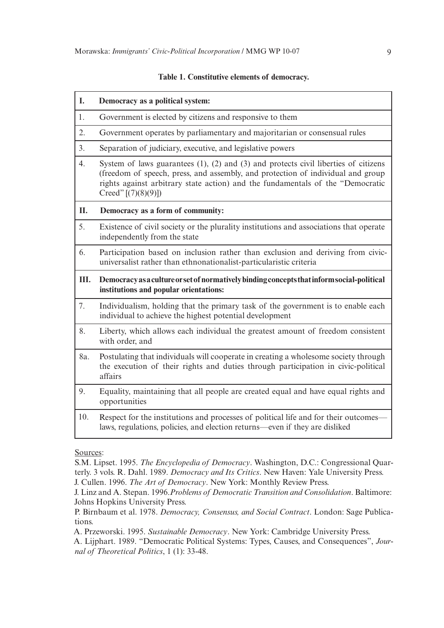| I.  | Democracy as a political system:                                                                                                                                                                                                                                                        |
|-----|-----------------------------------------------------------------------------------------------------------------------------------------------------------------------------------------------------------------------------------------------------------------------------------------|
| 1.  | Government is elected by citizens and responsive to them                                                                                                                                                                                                                                |
| 2.  | Government operates by parliamentary and majoritarian or consensual rules                                                                                                                                                                                                               |
| 3.  | Separation of judiciary, executive, and legislative powers                                                                                                                                                                                                                              |
| 4.  | System of laws guarantees $(1)$ , $(2)$ and $(3)$ and protects civil liberties of citizens<br>(freedom of speech, press, and assembly, and protection of individual and group<br>rights against arbitrary state action) and the fundamentals of the "Democratic<br>Creed" $[(7)(8)(9)]$ |
| П.  | Democracy as a form of community:                                                                                                                                                                                                                                                       |
| 5.  | Existence of civil society or the plurality institutions and associations that operate<br>independently from the state                                                                                                                                                                  |
| 6.  | Participation based on inclusion rather than exclusion and deriving from civic-<br>universalist rather than ethnonationalist-particularistic criteria                                                                                                                                   |
| Ш.  | Democracy as a culture or set of normatively binding concepts that informs ocial-political<br>institutions and popular orientations:                                                                                                                                                    |
| 7.  | Individualism, holding that the primary task of the government is to enable each<br>individual to achieve the highest potential development                                                                                                                                             |
| 8.  | Liberty, which allows each individual the greatest amount of freedom consistent<br>with order, and                                                                                                                                                                                      |
| 8a. | Postulating that individuals will cooperate in creating a wholesome society through<br>the execution of their rights and duties through participation in civic-political<br>affairs                                                                                                     |
| 9.  | Equality, maintaining that all people are created equal and have equal rights and<br>opportunities                                                                                                                                                                                      |
| 10. | Respect for the institutions and processes of political life and for their outcomes-<br>laws, regulations, policies, and election returns—even if they are disliked                                                                                                                     |

### **Table 1. Constitutive elements of democracy.**

Sources:

S.M. Lipset. 1995. *The Encyclopedia of Democracy*. Washington, D.C.: Congressional Quarterly. 3 vols. R. Dahl. 1989. *Democracy and Its Critics*. New Haven: Yale University Press. J. Cullen. 1996. *The Art of Democracy*. New York: Monthly Review Press.

A. Przeworski. 1995. *Sustainable Democracy*. New York: Cambridge University Press.

A. Lijphart. 1989. "Democratic Political Systems: Types, Causes, and Consequences", *Journal of Theoretical Politics*, 1 (1): 33-48.

J. Linz and A. Stepan. 1996.*Problems of Democratic Transition and Consolidation*. Baltimore: Johns Hopkins University Press.

P. Birnbaum et al. 1978. *Democracy, Consensus, and Social Contract*. London: Sage Publications.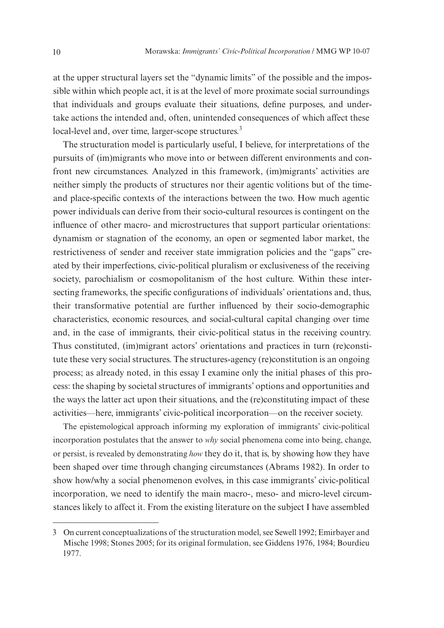at the upper structural layers set the "dynamic limits" of the possible and the impossible within which people act, it is at the level of more proximate social surroundings that individuals and groups evaluate their situations, define purposes, and undertake actions the intended and, often, unintended consequences of which affect these local-level and, over time, larger-scope structures.<sup>3</sup>

The structuration model is particularly useful, I believe, for interpretations of the pursuits of (im)migrants who move into or between different environments and confront new circumstances. Analyzed in this framework, (im)migrants' activities are neither simply the products of structures nor their agentic volitions but of the timeand place-specific contexts of the interactions between the two. How much agentic power individuals can derive from their socio-cultural resources is contingent on the influence of other macro- and microstructures that support particular orientations: dynamism or stagnation of the economy, an open or segmented labor market, the restrictiveness of sender and receiver state immigration policies and the "gaps" created by their imperfections, civic-political pluralism or exclusiveness of the receiving society, parochialism or cosmopolitanism of the host culture. Within these intersecting frameworks, the specific configurations of individuals' orientations and, thus, their transformative potential are further influenced by their socio-demographic characteristics, economic resources, and social-cultural capital changing over time and, in the case of immigrants, their civic-political status in the receiving country. Thus constituted, (im)migrant actors' orientations and practices in turn (re)constitute these very social structures. The structures-agency (re)constitution is an ongoing process; as already noted, in this essay I examine only the initial phases of this process: the shaping by societal structures of immigrants' options and opportunities and the ways the latter act upon their situations, and the (re)constituting impact of these activities—here, immigrants' civic-political incorporation—on the receiver society.

The epistemological approach informing my exploration of immigrants' civic-political incorporation postulates that the answer to *why* social phenomena come into being, change, or persist, is revealed by demonstrating *how* they do it, that is, by showing how they have been shaped over time through changing circumstances (Abrams 1982). In order to show how/why a social phenomenon evolves, in this case immigrants' civic-political incorporation, we need to identify the main macro-, meso- and micro-level circumstances likely to affect it. From the existing literature on the subject I have assembled

<sup>3</sup> On current conceptualizations of the structuration model, see Sewell 1992; Emirbayer and Mische 1998; Stones 2005; for its original formulation, see Giddens 1976, 1984; Bourdieu 1977.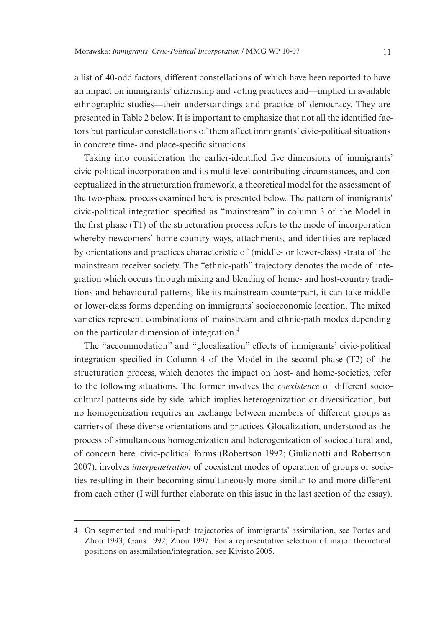a list of 40-odd factors, different constellations of which have been reported to have an impact on immigrants' citizenship and voting practices and—implied in available ethnographic studies—their understandings and practice of democracy. They are presented in Table 2 below. It is important to emphasize that not all the identified factors but particular constellations of them affect immigrants' civic-political situations in concrete time- and place-specific situations.

Taking into consideration the earlier-identified five dimensions of immigrants' civic-political incorporation and its multi-level contributing circumstances, and conceptualized in the structuration framework, a theoretical model for the assessment of the two-phase process examined here is presented below. The pattern of immigrants' civic-political integration specified as "mainstream" in column 3 of the Model in the first phase (T1) of the structuration process refers to the mode of incorporation whereby newcomers' home-country ways, attachments, and identities are replaced by orientations and practices characteristic of (middle- or lower-class) strata of the mainstream receiver society. The "ethnic-path" trajectory denotes the mode of integration which occurs through mixing and blending of home- and host-country traditions and behavioural patterns; like its mainstream counterpart, it can take middleor lower-class forms depending on immigrants' socioeconomic location. The mixed varieties represent combinations of mainstream and ethnic-path modes depending on the particular dimension of integration.<sup>4</sup>

The "accommodation" and "glocalization" effects of immigrants' civic-political integration specified in Column 4 of the Model in the second phase (T2) of the structuration process, which denotes the impact on host- and home-societies, refer to the following situations. The former involves the *coexistence* of different sociocultural patterns side by side, which implies heterogenization or diversification, but no homogenization requires an exchange between members of different groups as carriers of these diverse orientations and practices. Glocalization, understood as the process of simultaneous homogenization and heterogenization of sociocultural and, of concern here, civic-political forms (Robertson 1992; Giulianotti and Robertson 2007), involves *interpenetration* of coexistent modes of operation of groups or societies resulting in their becoming simultaneously more similar to and more different from each other (I will further elaborate on this issue in the last section of the essay).

<sup>4</sup> On segmented and multi-path trajectories of immigrants' assimilation, see Portes and Zhou 1993; Gans 1992; Zhou 1997. For a representative selection of major theoretical positions on assimilation/integration, see Kivisto 2005.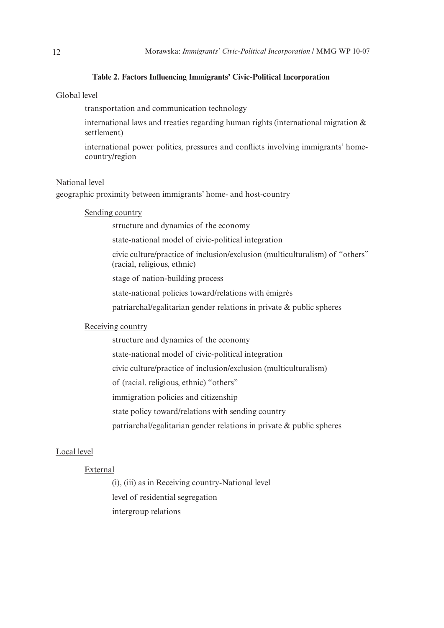### **Table 2. Factors Influencing Immigrants' Civic-Political Incorporation**

### Global level

transportation and communication technology

international laws and treaties regarding human rights (international migration & settlement)

international power politics, pressures and conflicts involving immigrants' homecountry/region

### National level

geographic proximity between immigrants' home- and host-country

### Sending country

structure and dynamics of the economy

state-national model of civic-political integration

civic culture/practice of inclusion/exclusion (multiculturalism) of "others" (racial, religious, ethnic)

stage of nation-building process

state-national policies toward/relations with émigrés

patriarchal/egalitarian gender relations in private & public spheres

### Receiving country

structure and dynamics of the economy

state-national model of civic-political integration

civic culture/practice of inclusion/exclusion (multiculturalism)

of (racial. religious, ethnic) "others"

immigration policies and citizenship

state policy toward/relations with sending country

patriarchal/egalitarian gender relations in private & public spheres

### Local level

### External

(i), (iii) as in Receiving country-National level level of residential segregation intergroup relations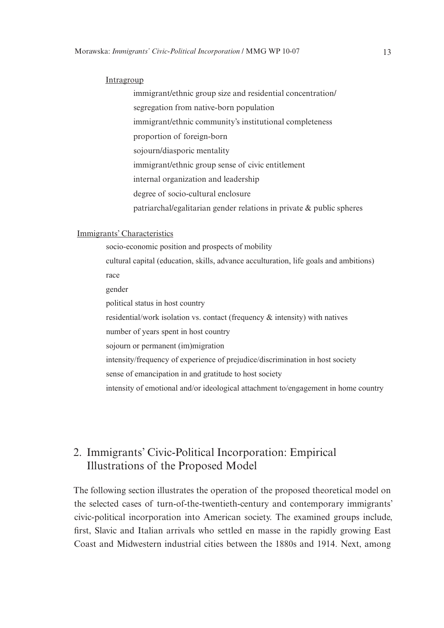### Intragroup

immigrant/ethnic group size and residential concentration/ segregation from native-born population immigrant/ethnic community's institutional completeness proportion of foreign-born sojourn/diasporic mentality immigrant/ethnic group sense of civic entitlement internal organization and leadership degree of socio-cultural enclosure patriarchal/egalitarian gender relations in private & public spheres

### Immigrants' Characteristics

socio-economic position and prospects of mobility cultural capital (education, skills, advance acculturation, life goals and ambitions) race gender political status in host country residential/work isolation vs. contact (frequency & intensity) with natives number of years spent in host country sojourn or permanent (im)migration intensity/frequency of experience of prejudice/discrimination in host society sense of emancipation in and gratitude to host society intensity of emotional and/or ideological attachment to/engagement in home country

# 2. Immigrants' Civic-Political Incorporation: Empirical Illustrations of the Proposed Model

The following section illustrates the operation of the proposed theoretical model on the selected cases of turn-of-the-twentieth-century and contemporary immigrants' civic-political incorporation into American society. The examined groups include, first, Slavic and Italian arrivals who settled en masse in the rapidly growing East Coast and Midwestern industrial cities between the 1880s and 1914. Next, among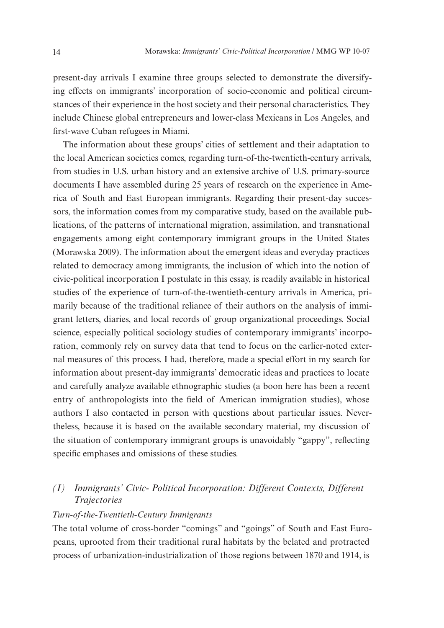present-day arrivals I examine three groups selected to demonstrate the diversifying effects on immigrants' incorporation of socio-economic and political circumstances of their experience in the host society and their personal characteristics. They include Chinese global entrepreneurs and lower-class Mexicans in Los Angeles, and first-wave Cuban refugees in Miami.

The information about these groups' cities of settlement and their adaptation to the local American societies comes, regarding turn-of-the-twentieth-century arrivals, from studies in U.S. urban history and an extensive archive of U.S. primary-source documents I have assembled during 25 years of research on the experience in America of South and East European immigrants. Regarding their present-day successors, the information comes from my comparative study, based on the available publications, of the patterns of international migration, assimilation, and transnational engagements among eight contemporary immigrant groups in the United States (Morawska 2009). The information about the emergent ideas and everyday practices related to democracy among immigrants, the inclusion of which into the notion of civic-political incorporation I postulate in this essay, is readily available in historical studies of the experience of turn-of-the-twentieth-century arrivals in America, primarily because of the traditional reliance of their authors on the analysis of immigrant letters, diaries, and local records of group organizational proceedings. Social science, especially political sociology studies of contemporary immigrants' incorporation, commonly rely on survey data that tend to focus on the earlier-noted external measures of this process. I had, therefore, made a special effort in my search for information about present-day immigrants' democratic ideas and practices to locate and carefully analyze available ethnographic studies (a boon here has been a recent entry of anthropologists into the field of American immigration studies), whose authors I also contacted in person with questions about particular issues. Nevertheless, because it is based on the available secondary material, my discussion of the situation of contemporary immigrant groups is unavoidably "gappy", reflecting specific emphases and omissions of these studies.

# *(I) Immigrants' Civic- Political Incorporation: Different Contexts, Different Trajectories*

### *Turn-of-the-Twentieth-Century Immigrants*

The total volume of cross-border "comings" and "goings" of South and East Europeans, uprooted from their traditional rural habitats by the belated and protracted process of urbanization-industrialization of those regions between 1870 and 1914, is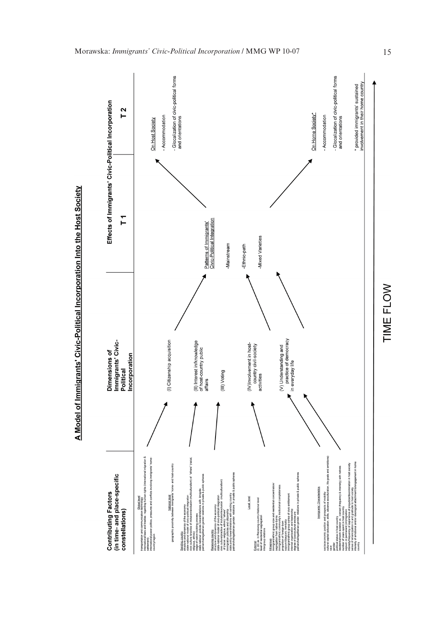

A Model of Immigrants' Civic-Political Incorporation Into the Host Society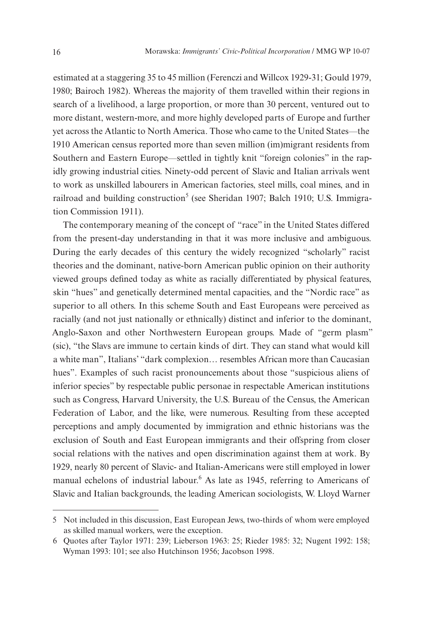estimated at a staggering 35 to 45 million (Ferenczi and Willcox 1929-31; Gould 1979, 1980; Bairoch 1982). Whereas the majority of them travelled within their regions in search of a livelihood, a large proportion, or more than 30 percent, ventured out to more distant, western-more, and more highly developed parts of Europe and further yet across the Atlantic to North America. Those who came to the United States—the 1910 American census reported more than seven million (im)migrant residents from Southern and Eastern Europe—settled in tightly knit "foreign colonies" in the rapidly growing industrial cities. Ninety-odd percent of Slavic and Italian arrivals went to work as unskilled labourers in American factories, steel mills, coal mines, and in railroad and building construction<sup>5</sup> (see Sheridan 1907; Balch 1910; U.S. Immigration Commission 1911).

The contemporary meaning of the concept of "race" in the United States differed from the present-day understanding in that it was more inclusive and ambiguous. During the early decades of this century the widely recognized "scholarly" racist theories and the dominant, native-born American public opinion on their authority viewed groups defined today as white as racially differentiated by physical features, skin "hues" and genetically determined mental capacities, and the "Nordic race" as superior to all others. In this scheme South and East Europeans were perceived as racially (and not just nationally or ethnically) distinct and inferior to the dominant, Anglo-Saxon and other Northwestern European groups. Made of "germ plasm" (sic), "the Slavs are immune to certain kinds of dirt. They can stand what would kill a white man", Italians' "dark complexion… resembles African more than Caucasian hues". Examples of such racist pronouncements about those "suspicious aliens of inferior species" by respectable public personae in respectable American institutions such as Congress, Harvard University, the U.S. Bureau of the Census, the American Federation of Labor, and the like, were numerous. Resulting from these accepted perceptions and amply documented by immigration and ethnic historians was the exclusion of South and East European immigrants and their offspring from closer social relations with the natives and open discrimination against them at work. By 1929, nearly 80 percent of Slavic- and Italian-Americans were still employed in lower manual echelons of industrial labour.<sup>6</sup> As late as 1945, referring to Americans of Slavic and Italian backgrounds, the leading American sociologists, W. Lloyd Warner

<sup>5</sup> Not included in this discussion, East European Jews, two-thirds of whom were employed as skilled manual workers, were the exception.

<sup>6</sup> Quotes after Taylor 1971: 239; Lieberson 1963: 25; Rieder 1985: 32; Nugent 1992: 158; Wyman 1993: 101; see also Hutchinson 1956; Jacobson 1998.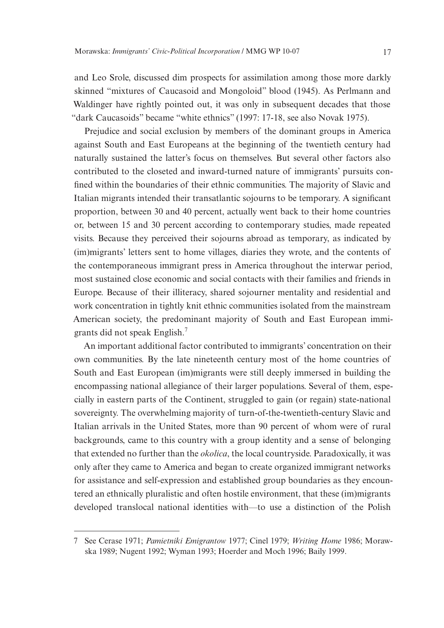and Leo Srole, discussed dim prospects for assimilation among those more darkly skinned "mixtures of Caucasoid and Mongoloid" blood (1945). As Perlmann and Waldinger have rightly pointed out, it was only in subsequent decades that those "dark Caucasoids" became "white ethnics" (1997: 17-18, see also Novak 1975).

Prejudice and social exclusion by members of the dominant groups in America against South and East Europeans at the beginning of the twentieth century had naturally sustained the latter's focus on themselves. But several other factors also contributed to the closeted and inward-turned nature of immigrants' pursuits confined within the boundaries of their ethnic communities. The majority of Slavic and Italian migrants intended their transatlantic sojourns to be temporary. A significant proportion, between 30 and 40 percent, actually went back to their home countries or, between 15 and 30 percent according to contemporary studies, made repeated visits. Because they perceived their sojourns abroad as temporary, as indicated by (im)migrants' letters sent to home villages, diaries they wrote, and the contents of the contemporaneous immigrant press in America throughout the interwar period, most sustained close economic and social contacts with their families and friends in Europe. Because of their illiteracy, shared sojourner mentality and residential and work concentration in tightly knit ethnic communities isolated from the mainstream American society, the predominant majority of South and East European immigrants did not speak English.7

An important additional factor contributed to immigrants' concentration on their own communities. By the late nineteenth century most of the home countries of South and East European (im)migrants were still deeply immersed in building the encompassing national allegiance of their larger populations. Several of them, especially in eastern parts of the Continent, struggled to gain (or regain) state-national sovereignty. The overwhelming majority of turn-of-the-twentieth-century Slavic and Italian arrivals in the United States, more than 90 percent of whom were of rural backgrounds, came to this country with a group identity and a sense of belonging that extended no further than the *okolica*, the local countryside. Paradoxically, it was only after they came to America and began to create organized immigrant networks for assistance and self-expression and established group boundaries as they encountered an ethnically pluralistic and often hostile environment, that these (im)migrants developed translocal national identities with—to use a distinction of the Polish

<sup>7</sup> See Cerase 1971; *Pamietniki Emigrantow* 1977; Cinel 1979; *Writing Home* 1986; Morawska 1989; Nugent 1992; Wyman 1993; Hoerder and Moch 1996; Baily 1999.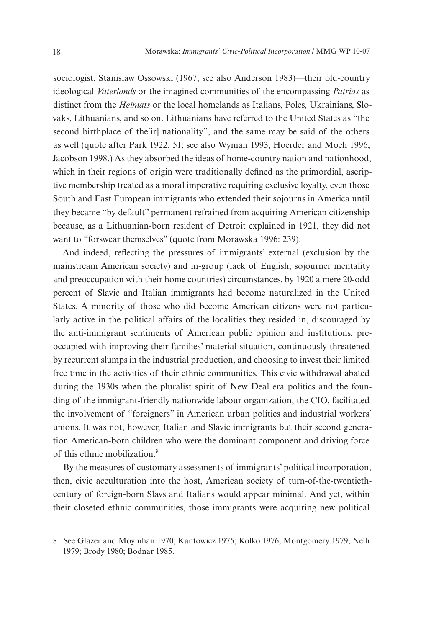sociologist, Stanislaw Ossowski (1967; see also Anderson 1983)—their old-country ideological *Vaterlands* or the imagined communities of the encompassing *Patrias* as distinct from the *Heimats* or the local homelands as Italians, Poles, Ukrainians, Slovaks, Lithuanians, and so on. Lithuanians have referred to the United States as "the second birthplace of the irl nationality", and the same may be said of the others as well (quote after Park 1922: 51; see also Wyman 1993; Hoerder and Moch 1996; Jacobson 1998.) As they absorbed the ideas of home-country nation and nationhood, which in their regions of origin were traditionally defined as the primordial, ascriptive membership treated as a moral imperative requiring exclusive loyalty, even those South and East European immigrants who extended their sojourns in America until they became "by default" permanent refrained from acquiring American citizenship because, as a Lithuanian-born resident of Detroit explained in 1921, they did not want to "forswear themselves" (quote from Morawska 1996: 239).

And indeed, reflecting the pressures of immigrants' external (exclusion by the mainstream American society) and in-group (lack of English, sojourner mentality and preoccupation with their home countries) circumstances, by 1920 a mere 20-odd percent of Slavic and Italian immigrants had become naturalized in the United States. A minority of those who did become American citizens were not particularly active in the political affairs of the localities they resided in, discouraged by the anti-immigrant sentiments of American public opinion and institutions, preoccupied with improving their families' material situation, continuously threatened by recurrent slumps in the industrial production, and choosing to invest their limited free time in the activities of their ethnic communities. This civic withdrawal abated during the 1930s when the pluralist spirit of New Deal era politics and the founding of the immigrant-friendly nationwide labour organization, the CIO, facilitated the involvement of "foreigners" in American urban politics and industrial workers' unions. It was not, however, Italian and Slavic immigrants but their second generation American-born children who were the dominant component and driving force of this ethnic mobilization.8

By the measures of customary assessments of immigrants' political incorporation, then, civic acculturation into the host, American society of turn-of-the-twentiethcentury of foreign-born Slavs and Italians would appear minimal. And yet, within their closeted ethnic communities, those immigrants were acquiring new political

<sup>8</sup> See Glazer and Moynihan 1970; Kantowicz 1975; Kolko 1976; Montgomery 1979; Nelli 1979; Brody 1980; Bodnar 1985.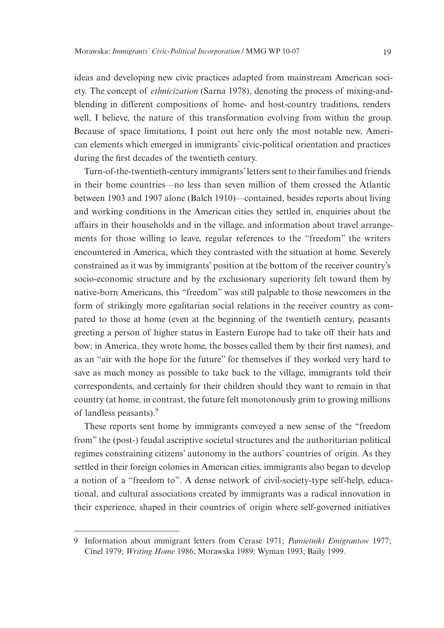ideas and developing new civic practices adapted from mainstream American society. The concept of *ethnicization* (Sarna 1978), denoting the process of mixing-andblending in different compositions of home- and host-country traditions, renders well, I believe, the nature of this transformation evolving from within the group. Because of space limitations, I point out here only the most notable new, American elements which emerged in immigrants' civic-political orientation and practices during the first decades of the twentieth century.

Turn-of-the-twentieth-century immigrants' letters sent to their families and friends in their home countries—no less than seven million of them crossed the Atlantic between 1903 and 1907 alone (Balch 1910)—contained, besides reports about living and working conditions in the American cities they settled in, enquiries about the affairs in their households and in the village, and information about travel arrangements for those willing to leave, regular references to the "freedom" the writers encountered in America, which they contrasted with the situation at home. Severely constrained as it was by immigrants' position at the bottom of the receiver country's socio-economic structure and by the exclusionary superiority felt toward them by native-born Americans, this "freedom" was still palpable to those newcomers in the form of strikingly more egalitarian social relations in the receiver country as compared to those at home (even at the beginning of the twentieth century, peasants greeting a person of higher status in Eastern Europe had to take off their hats and bow; in America, they wrote home, the bosses called them by their first names), and as an "air with the hope for the future" for themselves if they worked very hard to save as much money as possible to take back to the village, immigrants told their correspondents, and certainly for their children should they want to remain in that country (at home, in contrast, the future felt monotonously grim to growing millions of landless peasants).<sup>9</sup>

These reports sent home by immigrants conveyed a new sense of the "freedom from" the (post-) feudal ascriptive societal structures and the authoritarian political regimes constraining citizens' autonomy in the authors' countries of origin. As they settled in their foreign colonies in American cities, immigrants also began to develop a notion of a "freedom to". A dense network of civil-society-type self-help, educational, and cultural associations created by immigrants was a radical innovation in their experience, shaped in their countries of origin where self-governed initiatives

<sup>9</sup> Information about immigrant letters from Cerase 1971; *Pamietniki Emigrantow* 1977; Cinel 1979; *Writing Home* 1986; Morawska 1989; Wyman 1993; Baily 1999.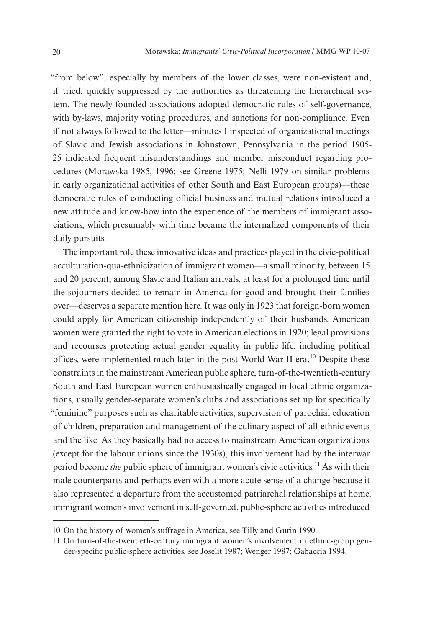"from below", especially by members of the lower classes, were non-existent and, if tried, quickly suppressed by the authorities as threatening the hierarchical system. The newly founded associations adopted democratic rules of self-governance, with by-laws, majority voting procedures, and sanctions for non-compliance. Even if not always followed to the letter—minutes I inspected of organizational meetings of Slavic and Jewish associations in Johnstown, Pennsylvania in the period 1905- 25 indicated frequent misunderstandings and member misconduct regarding procedures (Morawska 1985, 1996; see Greene 1975; Nelli 1979 on similar problems in early organizational activities of other South and East European groups)—these democratic rules of conducting official business and mutual relations introduced a new attitude and know-how into the experience of the members of immigrant associations, which presumably with time became the internalized components of their daily pursuits.

The important role these innovative ideas and practices played in the civic-political acculturation-qua-ethnicization of immigrant women—a small minority, between 15 and 20 percent, among Slavic and Italian arrivals, at least for a prolonged time until the sojourners decided to remain in America for good and brought their families over—deserves a separate mention here. It was only in 1923 that foreign-born women could apply for American citizenship independently of their husbands. American women were granted the right to vote in American elections in 1920; legal provisions and recourses protecting actual gender equality in public life, including political offices, were implemented much later in the post-World War II era.<sup>10</sup> Despite these constraints in the mainstream American public sphere, turn-of-the-twentieth-century South and East European women enthusiastically engaged in local ethnic organizations, usually gender-separate women's clubs and associations set up for specifically "feminine" purposes such as charitable activities, supervision of parochial education of children, preparation and management of the culinary aspect of all-ethnic events and the like. As they basically had no access to mainstream American organizations (except for the labour unions since the 1930s), this involvement had by the interwar period become *the* public sphere of immigrant women's civic activities.<sup>11</sup> As with their male counterparts and perhaps even with a more acute sense of a change because it also represented a departure from the accustomed patriarchal relationships at home, immigrant women's involvement in self-governed, public-sphere activities introduced

<sup>10</sup> On the history of women's suffrage in America, see Tilly and Gurin 1990.

<sup>11</sup> On turn-of-the-twentieth-century immigrant women's involvement in ethnic-group gender-specific public-sphere activities, see Joselit 1987; Wenger 1987; Gabaccia 1994.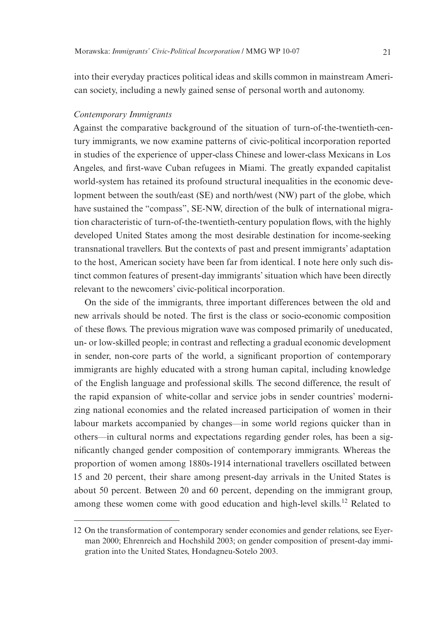into their everyday practices political ideas and skills common in mainstream American society, including a newly gained sense of personal worth and autonomy.

### *Contemporary Immigrants*

Against the comparative background of the situation of turn-of-the-twentieth-century immigrants, we now examine patterns of civic-political incorporation reported in studies of the experience of upper-class Chinese and lower-class Mexicans in Los Angeles, and first-wave Cuban refugees in Miami. The greatly expanded capitalist world-system has retained its profound structural inequalities in the economic development between the south/east (SE) and north/west (NW) part of the globe, which have sustained the "compass", SE-NW, direction of the bulk of international migration characteristic of turn-of-the-twentieth-century population flows, with the highly developed United States among the most desirable destination for income-seeking transnational travellers. But the contexts of past and present immigrants' adaptation to the host, American society have been far from identical. I note here only such distinct common features of present-day immigrants' situation which have been directly relevant to the newcomers' civic-political incorporation.

On the side of the immigrants, three important differences between the old and new arrivals should be noted. The first is the class or socio-economic composition of these flows. The previous migration wave was composed primarily of uneducated, un- or low-skilled people; in contrast and reflecting a gradual economic development in sender, non-core parts of the world, a significant proportion of contemporary immigrants are highly educated with a strong human capital, including knowledge of the English language and professional skills. The second difference, the result of the rapid expansion of white-collar and service jobs in sender countries' modernizing national economies and the related increased participation of women in their labour markets accompanied by changes—in some world regions quicker than in others—in cultural norms and expectations regarding gender roles, has been a significantly changed gender composition of contemporary immigrants. Whereas the proportion of women among 1880s-1914 international travellers oscillated between 15 and 20 percent, their share among present-day arrivals in the United States is about 50 percent. Between 20 and 60 percent, depending on the immigrant group, among these women come with good education and high-level skills.<sup>12</sup> Related to

<sup>12</sup> On the transformation of contemporary sender economies and gender relations, see Eyerman 2000; Ehrenreich and Hochshild 2003; on gender composition of present-day immigration into the United States, Hondagneu-Sotelo 2003.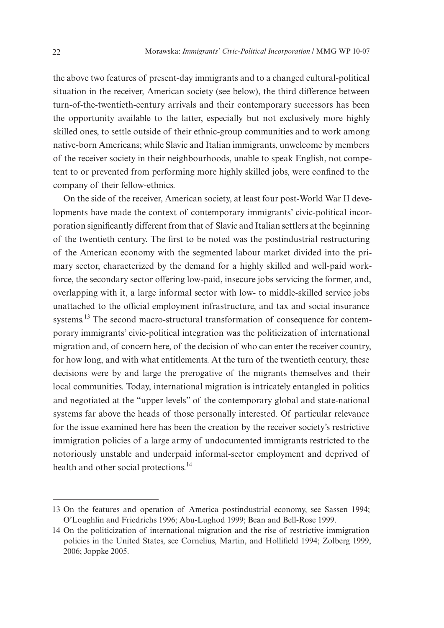the above two features of present-day immigrants and to a changed cultural-political situation in the receiver, American society (see below), the third difference between turn-of-the-twentieth-century arrivals and their contemporary successors has been the opportunity available to the latter, especially but not exclusively more highly skilled ones, to settle outside of their ethnic-group communities and to work among native-born Americans; while Slavic and Italian immigrants, unwelcome by members of the receiver society in their neighbourhoods, unable to speak English, not competent to or prevented from performing more highly skilled jobs, were confined to the company of their fellow-ethnics.

On the side of the receiver, American society, at least four post-World War II developments have made the context of contemporary immigrants' civic-political incorporation significantly different from that of Slavic and Italian settlers at the beginning of the twentieth century. The first to be noted was the postindustrial restructuring of the American economy with the segmented labour market divided into the primary sector, characterized by the demand for a highly skilled and well-paid workforce, the secondary sector offering low-paid, insecure jobs servicing the former, and, overlapping with it, a large informal sector with low- to middle-skilled service jobs unattached to the official employment infrastructure, and tax and social insurance systems.<sup>13</sup> The second macro-structural transformation of consequence for contemporary immigrants' civic-political integration was the politicization of international migration and, of concern here, of the decision of who can enter the receiver country, for how long, and with what entitlements. At the turn of the twentieth century, these decisions were by and large the prerogative of the migrants themselves and their local communities. Today, international migration is intricately entangled in politics and negotiated at the "upper levels" of the contemporary global and state-national systems far above the heads of those personally interested. Of particular relevance for the issue examined here has been the creation by the receiver society's restrictive immigration policies of a large army of undocumented immigrants restricted to the notoriously unstable and underpaid informal-sector employment and deprived of health and other social protections.<sup>14</sup>

<sup>13</sup> On the features and operation of America postindustrial economy, see Sassen 1994; O'Loughlin and Friedrichs 1996; Abu-Lughod 1999; Bean and Bell-Rose 1999.

<sup>14</sup> On the politicization of international migration and the rise of restrictive immigration policies in the United States, see Cornelius, Martin, and Hollifield 1994; Zolberg 1999, 2006; Joppke 2005.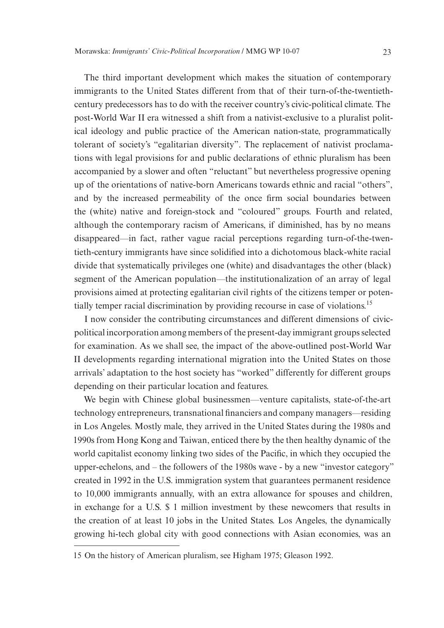The third important development which makes the situation of contemporary immigrants to the United States different from that of their turn-of-the-twentiethcentury predecessors has to do with the receiver country's civic-political climate. The post-World War II era witnessed a shift from a nativist-exclusive to a pluralist political ideology and public practice of the American nation-state, programmatically tolerant of society's "egalitarian diversity". The replacement of nativist proclamations with legal provisions for and public declarations of ethnic pluralism has been accompanied by a slower and often "reluctant" but nevertheless progressive opening up of the orientations of native-born Americans towards ethnic and racial "others", and by the increased permeability of the once firm social boundaries between the (white) native and foreign-stock and "coloured" groups. Fourth and related, although the contemporary racism of Americans, if diminished, has by no means disappeared—in fact, rather vague racial perceptions regarding turn-of-the-twentieth-century immigrants have since solidified into a dichotomous black-white racial divide that systematically privileges one (white) and disadvantages the other (black) segment of the American population—the institutionalization of an array of legal provisions aimed at protecting egalitarian civil rights of the citizens temper or potentially temper racial discrimination by providing recourse in case of violations.<sup>15</sup>

I now consider the contributing circumstances and different dimensions of civicpolitical incorporation among members of the present-day immigrant groups selected for examination. As we shall see, the impact of the above-outlined post-World War II developments regarding international migration into the United States on those arrivals' adaptation to the host society has "worked" differently for different groups depending on their particular location and features.

We begin with Chinese global businessmen—venture capitalists, state-of-the-art technology entrepreneurs, transnational financiers and company managers—residing in Los Angeles. Mostly male, they arrived in the United States during the 1980s and 1990s from Hong Kong and Taiwan, enticed there by the then healthy dynamic of the world capitalist economy linking two sides of the Pacific, in which they occupied the upper-echelons, and – the followers of the 1980s wave - by a new "investor category" created in 1992 in the U.S. immigration system that guarantees permanent residence to 10,000 immigrants annually, with an extra allowance for spouses and children, in exchange for a U.S. \$ 1 million investment by these newcomers that results in the creation of at least 10 jobs in the United States. Los Angeles, the dynamically growing hi-tech global city with good connections with Asian economies, was an

<sup>15</sup> On the history of American pluralism, see Higham 1975; Gleason 1992.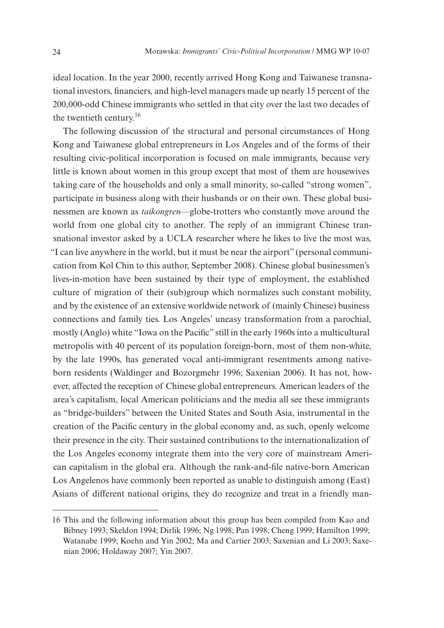ideal location. In the year 2000, recently arrived Hong Kong and Taiwanese transnational investors, financiers, and high-level managers made up nearly 15 percent of the 200,000-odd Chinese immigrants who settled in that city over the last two decades of the twentieth century.<sup>16</sup>

The following discussion of the structural and personal circumstances of Hong Kong and Taiwanese global entrepreneurs in Los Angeles and of the forms of their resulting civic-political incorporation is focused on male immigrants, because very little is known about women in this group except that most of them are housewives taking care of the households and only a small minority, so-called "strong women", participate in business along with their husbands or on their own. These global businessmen are known as *taikongren*—globe-trotters who constantly move around the world from one global city to another. The reply of an immigrant Chinese transnational investor asked by a UCLA researcher where he likes to live the most was, "I can live anywhere in the world, but it must be near the airport" (personal communication from Kol Chin to this author, September 2008). Chinese global businessmen's lives-in-motion have been sustained by their type of employment, the established culture of migration of their (sub)group which normalizes such constant mobility, and by the existence of an extensive worldwide network of (mainly Chinese) business connections and family ties. Los Angeles' uneasy transformation from a parochial, mostly (Anglo) white "Iowa on the Pacific" still in the early 1960s into a multicultural metropolis with 40 percent of its population foreign-born, most of them non-white, by the late 1990s, has generated vocal anti-immigrant resentments among nativeborn residents (Waldinger and Bozorgmehr 1996; Saxenian 2006). It has not, however, affected the reception of Chinese global entrepreneurs. American leaders of the area's capitalism, local American politicians and the media all see these immigrants as "bridge-builders" between the United States and South Asia, instrumental in the creation of the Pacific century in the global economy and, as such, openly welcome their presence in the city. Their sustained contributions to the internationalization of the Los Angeles economy integrate them into the very core of mainstream American capitalism in the global era. Although the rank-and-file native-born American Los Angelenos have commonly been reported as unable to distinguish among (East) Asians of different national origins, they do recognize and treat in a friendly man-

<sup>16</sup> This and the following information about this group has been compiled from Kao and Bibney 1993; Skeldon 1994; Dirlik 1996; Ng 1998; Pan 1998; Cheng 1999; Hamilton 1999; Watanabe 1999; Koehn and Yin 2002; Ma and Cartier 2003; Saxenian and Li 2003; Saxenian 2006; Holdaway 2007; Yin 2007.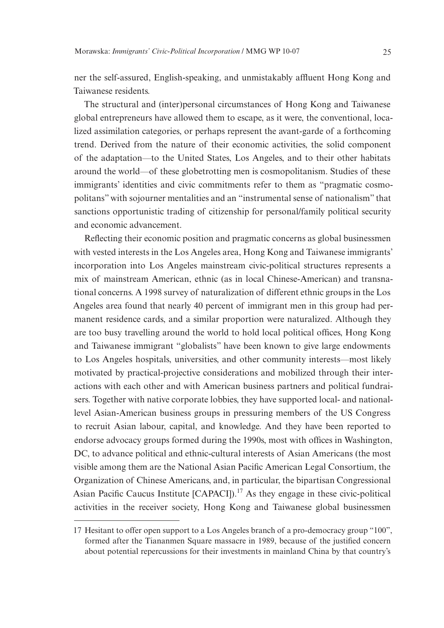ner the self-assured, English-speaking, and unmistakably affluent Hong Kong and Taiwanese residents.

The structural and (inter)personal circumstances of Hong Kong and Taiwanese global entrepreneurs have allowed them to escape, as it were, the conventional, localized assimilation categories, or perhaps represent the avant-garde of a forthcoming trend. Derived from the nature of their economic activities, the solid component of the adaptation—to the United States, Los Angeles, and to their other habitats around the world—of these globetrotting men is cosmopolitanism. Studies of these immigrants' identities and civic commitments refer to them as "pragmatic cosmopolitans" with sojourner mentalities and an "instrumental sense of nationalism" that sanctions opportunistic trading of citizenship for personal/family political security and economic advancement.

Reflecting their economic position and pragmatic concerns as global businessmen with vested interests in the Los Angeles area, Hong Kong and Taiwanese immigrants' incorporation into Los Angeles mainstream civic-political structures represents a mix of mainstream American, ethnic (as in local Chinese-American) and transnational concerns. A 1998 survey of naturalization of different ethnic groups in the Los Angeles area found that nearly 40 percent of immigrant men in this group had permanent residence cards, and a similar proportion were naturalized. Although they are too busy travelling around the world to hold local political offices, Hong Kong and Taiwanese immigrant "globalists" have been known to give large endowments to Los Angeles hospitals, universities, and other community interests—most likely motivated by practical-projective considerations and mobilized through their interactions with each other and with American business partners and political fundraisers. Together with native corporate lobbies, they have supported local- and nationallevel Asian-American business groups in pressuring members of the US Congress to recruit Asian labour, capital, and knowledge. And they have been reported to endorse advocacy groups formed during the 1990s, most with offices in Washington, DC, to advance political and ethnic-cultural interests of Asian Americans (the most visible among them are the National Asian Pacific American Legal Consortium, the Organization of Chinese Americans, and, in particular, the bipartisan Congressional Asian Pacific Caucus Institute  $[CAPACI]$ .<sup>17</sup> As they engage in these civic-political activities in the receiver society, Hong Kong and Taiwanese global businessmen

<sup>17</sup> Hesitant to offer open support to a Los Angeles branch of a pro-democracy group "100", formed after the Tiananmen Square massacre in 1989, because of the justified concern about potential repercussions for their investments in mainland China by that country's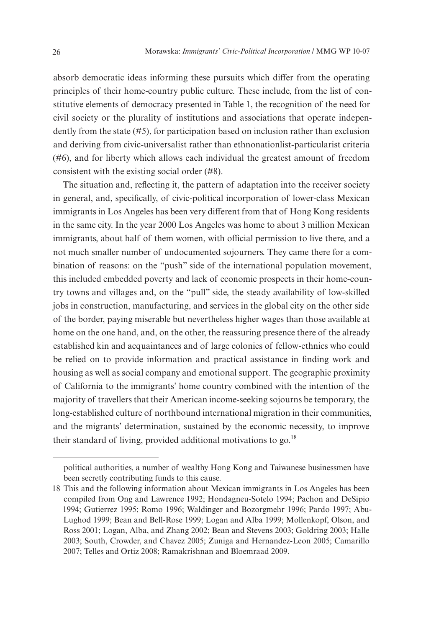absorb democratic ideas informing these pursuits which differ from the operating principles of their home-country public culture. These include, from the list of constitutive elements of democracy presented in Table 1, the recognition of the need for civil society or the plurality of institutions and associations that operate independently from the state (#5), for participation based on inclusion rather than exclusion and deriving from civic-universalist rather than ethnonationlist-particularist criteria (#6), and for liberty which allows each individual the greatest amount of freedom consistent with the existing social order (#8).

The situation and, reflecting it, the pattern of adaptation into the receiver society in general, and, specifically, of civic-political incorporation of lower-class Mexican immigrants in Los Angeles has been very different from that of Hong Kong residents in the same city. In the year 2000 Los Angeles was home to about 3 million Mexican immigrants, about half of them women, with official permission to live there, and a not much smaller number of undocumented sojourners. They came there for a combination of reasons: on the "push" side of the international population movement, this included embedded poverty and lack of economic prospects in their home-country towns and villages and, on the "pull" side, the steady availability of low-skilled jobs in construction, manufacturing, and services in the global city on the other side of the border, paying miserable but nevertheless higher wages than those available at home on the one hand, and, on the other, the reassuring presence there of the already established kin and acquaintances and of large colonies of fellow-ethnics who could be relied on to provide information and practical assistance in finding work and housing as well as social company and emotional support. The geographic proximity of California to the immigrants' home country combined with the intention of the majority of travellers that their American income-seeking sojourns be temporary, the long-established culture of northbound international migration in their communities, and the migrants' determination, sustained by the economic necessity, to improve their standard of living, provided additional motivations to go.<sup>18</sup>

political authorities, a number of wealthy Hong Kong and Taiwanese businessmen have been secretly contributing funds to this cause.

<sup>18</sup> This and the following information about Mexican immigrants in Los Angeles has been compiled from Ong and Lawrence 1992; Hondagneu-Sotelo 1994; Pachon and DeSipio 1994; Gutierrez 1995; Romo 1996; Waldinger and Bozorgmehr 1996; Pardo 1997; Abu-Lughod 1999; Bean and Bell-Rose 1999; Logan and Alba 1999; Mollenkopf, Olson, and Ross 2001; Logan, Alba, and Zhang 2002; Bean and Stevens 2003; Goldring 2003; Halle 2003; South, Crowder, and Chavez 2005; Zuniga and Hernandez-Leon 2005; Camarillo 2007; Telles and Ortiz 2008; Ramakrishnan and Bloemraad 2009.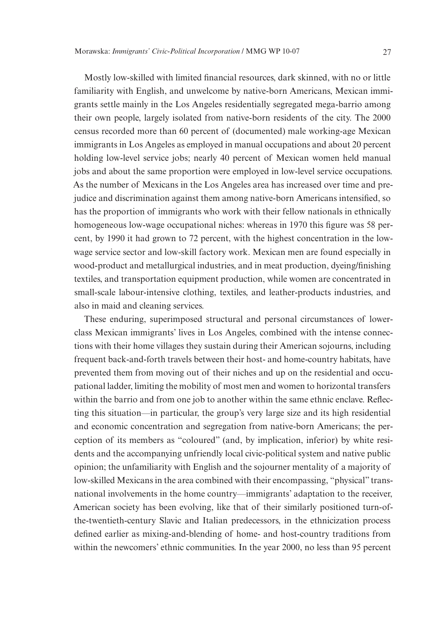Mostly low-skilled with limited financial resources, dark skinned, with no or little familiarity with English, and unwelcome by native-born Americans, Mexican immigrants settle mainly in the Los Angeles residentially segregated mega-barrio among their own people, largely isolated from native-born residents of the city. The 2000 census recorded more than 60 percent of (documented) male working-age Mexican immigrants in Los Angeles as employed in manual occupations and about 20 percent holding low-level service jobs; nearly 40 percent of Mexican women held manual jobs and about the same proportion were employed in low-level service occupations. As the number of Mexicans in the Los Angeles area has increased over time and prejudice and discrimination against them among native-born Americans intensified, so has the proportion of immigrants who work with their fellow nationals in ethnically homogeneous low-wage occupational niches: whereas in 1970 this figure was 58 percent, by 1990 it had grown to 72 percent, with the highest concentration in the lowwage service sector and low-skill factory work. Mexican men are found especially in wood-product and metallurgical industries, and in meat production, dyeing/finishing textiles, and transportation equipment production, while women are concentrated in small-scale labour-intensive clothing, textiles, and leather-products industries, and also in maid and cleaning services.

These enduring, superimposed structural and personal circumstances of lowerclass Mexican immigrants' lives in Los Angeles, combined with the intense connections with their home villages they sustain during their American sojourns, including frequent back-and-forth travels between their host- and home-country habitats, have prevented them from moving out of their niches and up on the residential and occupational ladder, limiting the mobility of most men and women to horizontal transfers within the barrio and from one job to another within the same ethnic enclave. Reflecting this situation—in particular, the group's very large size and its high residential and economic concentration and segregation from native-born Americans; the perception of its members as "coloured" (and, by implication, inferior) by white residents and the accompanying unfriendly local civic-political system and native public opinion; the unfamiliarity with English and the sojourner mentality of a majority of low-skilled Mexicans in the area combined with their encompassing, "physical" transnational involvements in the home country—immigrants' adaptation to the receiver, American society has been evolving, like that of their similarly positioned turn-ofthe-twentieth-century Slavic and Italian predecessors, in the ethnicization process defined earlier as mixing-and-blending of home- and host-country traditions from within the newcomers' ethnic communities. In the year 2000, no less than 95 percent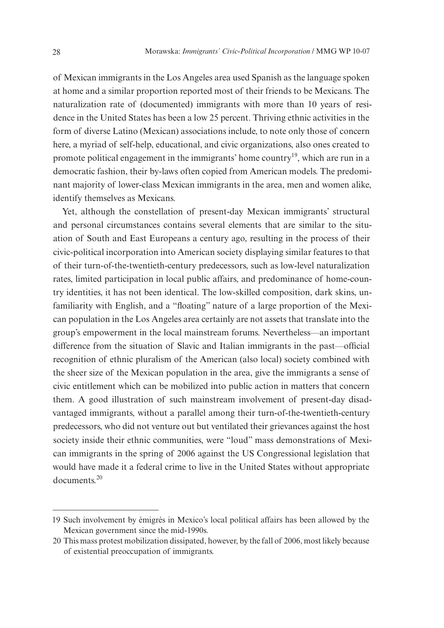of Mexican immigrants in the Los Angeles area used Spanish as the language spoken at home and a similar proportion reported most of their friends to be Mexicans. The naturalization rate of (documented) immigrants with more than 10 years of residence in the United States has been a low 25 percent. Thriving ethnic activities in the form of diverse Latino (Mexican) associations include, to note only those of concern here, a myriad of self-help, educational, and civic organizations, also ones created to promote political engagement in the immigrants' home country<sup>19</sup>, which are run in a democratic fashion, their by-laws often copied from American models. The predominant majority of lower-class Mexican immigrants in the area, men and women alike, identify themselves as Mexicans.

Yet, although the constellation of present-day Mexican immigrants' structural and personal circumstances contains several elements that are similar to the situation of South and East Europeans a century ago, resulting in the process of their civic-political incorporation into American society displaying similar features to that of their turn-of-the-twentieth-century predecessors, such as low-level naturalization rates, limited participation in local public affairs, and predominance of home-country identities, it has not been identical. The low-skilled composition, dark skins, unfamiliarity with English, and a "floating" nature of a large proportion of the Mexican population in the Los Angeles area certainly are not assets that translate into the group's empowerment in the local mainstream forums. Nevertheless—an important difference from the situation of Slavic and Italian immigrants in the past—official recognition of ethnic pluralism of the American (also local) society combined with the sheer size of the Mexican population in the area, give the immigrants a sense of civic entitlement which can be mobilized into public action in matters that concern them. A good illustration of such mainstream involvement of present-day disadvantaged immigrants, without a parallel among their turn-of-the-twentieth-century predecessors, who did not venture out but ventilated their grievances against the host society inside their ethnic communities, were "loud" mass demonstrations of Mexican immigrants in the spring of 2006 against the US Congressional legislation that would have made it a federal crime to live in the United States without appropriate documents<sup>20</sup>

<sup>19</sup> Such involvement by émigrés in Mexico's local political affairs has been allowed by the Mexican government since the mid-1990s.

<sup>20</sup> This mass protest mobilization dissipated, however, by the fall of 2006, most likely because of existential preoccupation of immigrants.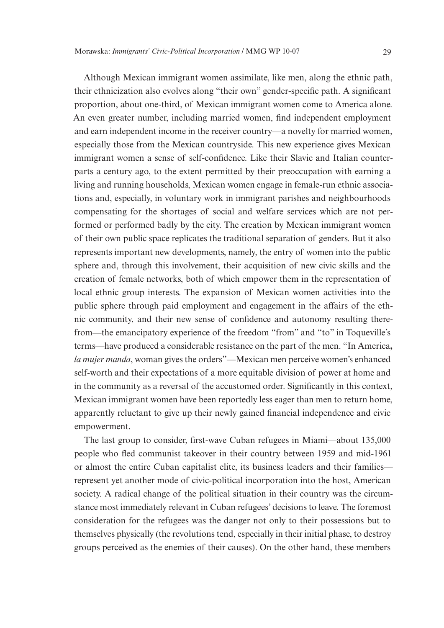Although Mexican immigrant women assimilate, like men, along the ethnic path, their ethnicization also evolves along "their own" gender-specific path. A significant proportion, about one-third, of Mexican immigrant women come to America alone. An even greater number, including married women, find independent employment and earn independent income in the receiver country—a novelty for married women, especially those from the Mexican countryside. This new experience gives Mexican immigrant women a sense of self-confidence. Like their Slavic and Italian counterparts a century ago, to the extent permitted by their preoccupation with earning a living and running households, Mexican women engage in female-run ethnic associations and, especially, in voluntary work in immigrant parishes and neighbourhoods compensating for the shortages of social and welfare services which are not performed or performed badly by the city. The creation by Mexican immigrant women of their own public space replicates the traditional separation of genders. But it also represents important new developments, namely, the entry of women into the public sphere and, through this involvement, their acquisition of new civic skills and the creation of female networks, both of which empower them in the representation of local ethnic group interests. The expansion of Mexican women activities into the public sphere through paid employment and engagement in the affairs of the ethnic community, and their new sense of confidence and autonomy resulting therefrom—the emancipatory experience of the freedom "from" and "to" in Toqueville's terms—have produced a considerable resistance on the part of the men. "In America**,**  *la mujer manda*, woman gives the orders"—Mexican men perceive women's enhanced self-worth and their expectations of a more equitable division of power at home and in the community as a reversal of the accustomed order. Significantly in this context, Mexican immigrant women have been reportedly less eager than men to return home, apparently reluctant to give up their newly gained financial independence and civic empowerment.

The last group to consider, first-wave Cuban refugees in Miami—about 135,000 people who fled communist takeover in their country between 1959 and mid-1961 or almost the entire Cuban capitalist elite, its business leaders and their families represent yet another mode of civic-political incorporation into the host, American society. A radical change of the political situation in their country was the circumstance most immediately relevant in Cuban refugees' decisions to leave. The foremost consideration for the refugees was the danger not only to their possessions but to themselves physically (the revolutions tend, especially in their initial phase, to destroy groups perceived as the enemies of their causes). On the other hand, these members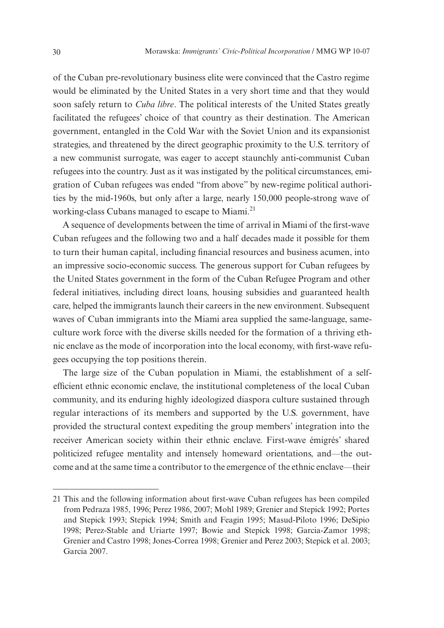of the Cuban pre-revolutionary business elite were convinced that the Castro regime would be eliminated by the United States in a very short time and that they would soon safely return to *Cuba libre*. The political interests of the United States greatly facilitated the refugees' choice of that country as their destination. The American government, entangled in the Cold War with the Soviet Union and its expansionist strategies, and threatened by the direct geographic proximity to the U.S. territory of a new communist surrogate, was eager to accept staunchly anti-communist Cuban refugees into the country. Just as it was instigated by the political circumstances, emigration of Cuban refugees was ended "from above" by new-regime political authorities by the mid-1960s, but only after a large, nearly 150,000 people-strong wave of working-class Cubans managed to escape to Miami.<sup>21</sup>

A sequence of developments between the time of arrival in Miami of the first-wave Cuban refugees and the following two and a half decades made it possible for them to turn their human capital, including financial resources and business acumen, into an impressive socio-economic success. The generous support for Cuban refugees by the United States government in the form of the Cuban Refugee Program and other federal initiatives, including direct loans, housing subsidies and guaranteed health care, helped the immigrants launch their careers in the new environment. Subsequent waves of Cuban immigrants into the Miami area supplied the same-language, sameculture work force with the diverse skills needed for the formation of a thriving ethnic enclave as the mode of incorporation into the local economy, with first-wave refugees occupying the top positions therein.

The large size of the Cuban population in Miami, the establishment of a selfefficient ethnic economic enclave, the institutional completeness of the local Cuban community, and its enduring highly ideologized diaspora culture sustained through regular interactions of its members and supported by the U.S. government, have provided the structural context expediting the group members' integration into the receiver American society within their ethnic enclave. First-wave émigrés' shared politicized refugee mentality and intensely homeward orientations, and—the outcome and at the same time a contributor to the emergence of the ethnic enclave—their

<sup>21</sup> This and the following information about first-wave Cuban refugees has been compiled from Pedraza 1985, 1996; Perez 1986, 2007; Mohl 1989; Grenier and Stepick 1992; Portes and Stepick 1993; Stepick 1994; Smith and Feagin 1995; Masud-Piloto 1996; DeSipio 1998; Perez-Stable and Uriarte 1997; Bowie and Stepick 1998; Garcia-Zamor 1998; Grenier and Castro 1998; Jones-Correa 1998; Grenier and Perez 2003; Stepick et al. 2003; Garcia 2007.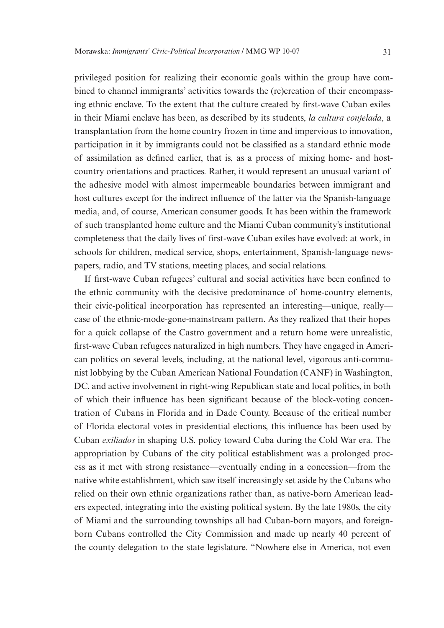privileged position for realizing their economic goals within the group have combined to channel immigrants' activities towards the (re)creation of their encompassing ethnic enclave. To the extent that the culture created by first-wave Cuban exiles in their Miami enclave has been, as described by its students, *la cultura conjelada*, a transplantation from the home country frozen in time and impervious to innovation, participation in it by immigrants could not be classified as a standard ethnic mode of assimilation as defined earlier, that is, as a process of mixing home- and hostcountry orientations and practices. Rather, it would represent an unusual variant of the adhesive model with almost impermeable boundaries between immigrant and host cultures except for the indirect influence of the latter via the Spanish-language media, and, of course, American consumer goods. It has been within the framework of such transplanted home culture and the Miami Cuban community's institutional completeness that the daily lives of first-wave Cuban exiles have evolved: at work, in schools for children, medical service, shops, entertainment, Spanish-language newspapers, radio, and TV stations, meeting places, and social relations.

If first-wave Cuban refugees' cultural and social activities have been confined to the ethnic community with the decisive predominance of home-country elements, their civic-political incorporation has represented an interesting—unique, really case of the ethnic-mode-gone-mainstream pattern. As they realized that their hopes for a quick collapse of the Castro government and a return home were unrealistic, first-wave Cuban refugees naturalized in high numbers. They have engaged in American politics on several levels, including, at the national level, vigorous anti-communist lobbying by the Cuban American National Foundation (CANF) in Washington, DC, and active involvement in right-wing Republican state and local politics, in both of which their influence has been significant because of the block-voting concentration of Cubans in Florida and in Dade County. Because of the critical number of Florida electoral votes in presidential elections, this influence has been used by Cuban *exiliados* in shaping U.S. policy toward Cuba during the Cold War era. The appropriation by Cubans of the city political establishment was a prolonged process as it met with strong resistance—eventually ending in a concession—from the native white establishment, which saw itself increasingly set aside by the Cubans who relied on their own ethnic organizations rather than, as native-born American leaders expected, integrating into the existing political system. By the late 1980s, the city of Miami and the surrounding townships all had Cuban-born mayors, and foreignborn Cubans controlled the City Commission and made up nearly 40 percent of the county delegation to the state legislature. "Nowhere else in America, not even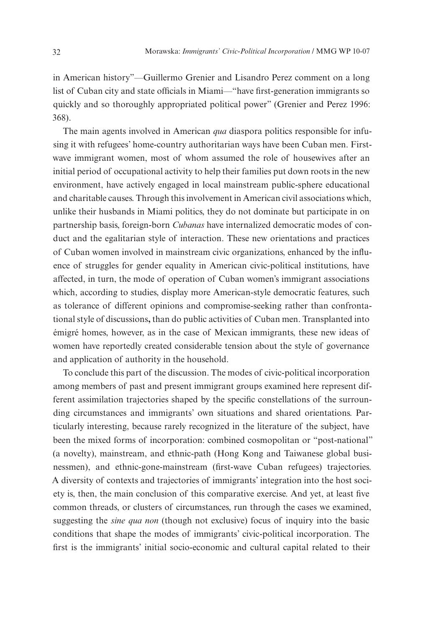in American history"—Guillermo Grenier and Lisandro Perez comment on a long list of Cuban city and state officials in Miami—"have first-generation immigrants so quickly and so thoroughly appropriated political power" (Grenier and Perez 1996: 368).

The main agents involved in American *qua* diaspora politics responsible for infusing it with refugees' home-country authoritarian ways have been Cuban men. Firstwave immigrant women, most of whom assumed the role of housewives after an initial period of occupational activity to help their families put down roots in the new environment, have actively engaged in local mainstream public-sphere educational and charitable causes. Through this involvement in American civil associations which, unlike their husbands in Miami politics, they do not dominate but participate in on partnership basis, foreign-born *Cubanas* have internalized democratic modes of conduct and the egalitarian style of interaction. These new orientations and practices of Cuban women involved in mainstream civic organizations, enhanced by the influence of struggles for gender equality in American civic-political institutions, have affected, in turn, the mode of operation of Cuban women's immigrant associations which, according to studies, display more American-style democratic features, such as tolerance of different opinions and compromise-seeking rather than confrontational style of discussions**,** than do public activities of Cuban men. Transplanted into émigré homes, however, as in the case of Mexican immigrants, these new ideas of women have reportedly created considerable tension about the style of governance and application of authority in the household.

To conclude this part of the discussion. The modes of civic-political incorporation among members of past and present immigrant groups examined here represent different assimilation trajectories shaped by the specific constellations of the surrounding circumstances and immigrants' own situations and shared orientations. Particularly interesting, because rarely recognized in the literature of the subject, have been the mixed forms of incorporation: combined cosmopolitan or "post-national" (a novelty), mainstream, and ethnic-path (Hong Kong and Taiwanese global businessmen), and ethnic-gone-mainstream (first-wave Cuban refugees) trajectories. A diversity of contexts and trajectories of immigrants' integration into the host society is, then, the main conclusion of this comparative exercise. And yet, at least five common threads, or clusters of circumstances, run through the cases we examined, suggesting the *sine qua non* (though not exclusive) focus of inquiry into the basic conditions that shape the modes of immigrants' civic-political incorporation. The first is the immigrants' initial socio-economic and cultural capital related to their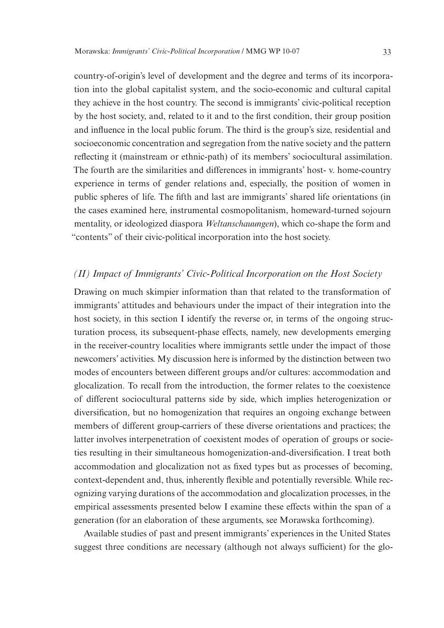country-of-origin's level of development and the degree and terms of its incorporation into the global capitalist system, and the socio-economic and cultural capital they achieve in the host country. The second is immigrants' civic-political reception by the host society, and, related to it and to the first condition, their group position and influence in the local public forum. The third is the group's size, residential and socioeconomic concentration and segregation from the native society and the pattern reflecting it (mainstream or ethnic-path) of its members' sociocultural assimilation. The fourth are the similarities and differences in immigrants' host- v. home-country experience in terms of gender relations and, especially, the position of women in public spheres of life. The fifth and last are immigrants' shared life orientations (in the cases examined here, instrumental cosmopolitanism, homeward-turned sojourn mentality, or ideologized diaspora *Weltanschauungen*), which co-shape the form and "contents" of their civic-political incorporation into the host society.

### *(II) Impact of Immigrants' Civic-Political Incorporation on the Host Society*

Drawing on much skimpier information than that related to the transformation of immigrants' attitudes and behaviours under the impact of their integration into the host society, in this section I identify the reverse or, in terms of the ongoing structuration process, its subsequent-phase effects, namely, new developments emerging in the receiver-country localities where immigrants settle under the impact of those newcomers' activities. My discussion here is informed by the distinction between two modes of encounters between different groups and/or cultures: accommodation and glocalization. To recall from the introduction, the former relates to the coexistence of different sociocultural patterns side by side, which implies heterogenization or diversification, but no homogenization that requires an ongoing exchange between members of different group-carriers of these diverse orientations and practices; the latter involves interpenetration of coexistent modes of operation of groups or societies resulting in their simultaneous homogenization-and-diversification. I treat both accommodation and glocalization not as fixed types but as processes of becoming, context-dependent and, thus, inherently flexible and potentially reversible. While recognizing varying durations of the accommodation and glocalization processes, in the empirical assessments presented below I examine these effects within the span of a generation (for an elaboration of these arguments, see Morawska forthcoming).

Available studies of past and present immigrants' experiences in the United States suggest three conditions are necessary (although not always sufficient) for the glo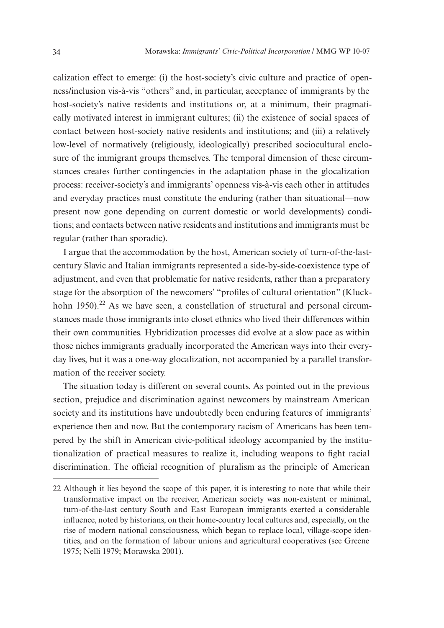calization effect to emerge: (i) the host-society's civic culture and practice of openness/inclusion vis-à-vis "others" and, in particular, acceptance of immigrants by the host-society's native residents and institutions or, at a minimum, their pragmatically motivated interest in immigrant cultures; (ii) the existence of social spaces of contact between host-society native residents and institutions; and (iii) a relatively low-level of normatively (religiously, ideologically) prescribed sociocultural enclosure of the immigrant groups themselves. The temporal dimension of these circumstances creates further contingencies in the adaptation phase in the glocalization process: receiver-society's and immigrants' openness vis-à-vis each other in attitudes and everyday practices must constitute the enduring (rather than situational—now present now gone depending on current domestic or world developments) conditions; and contacts between native residents and institutions and immigrants must be regular (rather than sporadic).

I argue that the accommodation by the host, American society of turn-of-the-lastcentury Slavic and Italian immigrants represented a side-by-side-coexistence type of adjustment, and even that problematic for native residents, rather than a preparatory stage for the absorption of the newcomers' "profiles of cultural orientation" (Kluckhohn 1950).<sup>22</sup> As we have seen, a constellation of structural and personal circumstances made those immigrants into closet ethnics who lived their differences within their own communities. Hybridization processes did evolve at a slow pace as within those niches immigrants gradually incorporated the American ways into their everyday lives, but it was a one-way glocalization, not accompanied by a parallel transformation of the receiver society.

The situation today is different on several counts. As pointed out in the previous section, prejudice and discrimination against newcomers by mainstream American society and its institutions have undoubtedly been enduring features of immigrants' experience then and now. But the contemporary racism of Americans has been tempered by the shift in American civic-political ideology accompanied by the institutionalization of practical measures to realize it, including weapons to fight racial discrimination. The official recognition of pluralism as the principle of American

<sup>22</sup> Although it lies beyond the scope of this paper, it is interesting to note that while their transformative impact on the receiver, American society was non-existent or minimal, turn-of-the-last century South and East European immigrants exerted a considerable influence, noted by historians, on their home-country local cultures and, especially, on the rise of modern national consciousness, which began to replace local, village-scope identities, and on the formation of labour unions and agricultural cooperatives (see Greene 1975; Nelli 1979; Morawska 2001).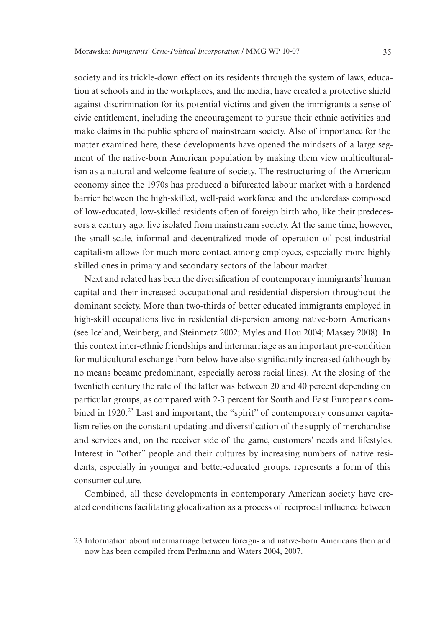society and its trickle-down effect on its residents through the system of laws, education at schools and in the workplaces, and the media, have created a protective shield against discrimination for its potential victims and given the immigrants a sense of civic entitlement, including the encouragement to pursue their ethnic activities and make claims in the public sphere of mainstream society. Also of importance for the matter examined here, these developments have opened the mindsets of a large segment of the native-born American population by making them view multiculturalism as a natural and welcome feature of society. The restructuring of the American economy since the 1970s has produced a bifurcated labour market with a hardened barrier between the high-skilled, well-paid workforce and the underclass composed of low-educated, low-skilled residents often of foreign birth who, like their predecessors a century ago, live isolated from mainstream society. At the same time, however, the small-scale, informal and decentralized mode of operation of post-industrial capitalism allows for much more contact among employees, especially more highly skilled ones in primary and secondary sectors of the labour market.

Next and related has been the diversification of contemporary immigrants' human capital and their increased occupational and residential dispersion throughout the dominant society. More than two-thirds of better educated immigrants employed in high-skill occupations live in residential dispersion among native-born Americans (see Iceland, Weinberg, and Steinmetz 2002; Myles and Hou 2004; Massey 2008). In this context inter-ethnic friendships and intermarriage as an important pre-condition for multicultural exchange from below have also significantly increased (although by no means became predominant, especially across racial lines). At the closing of the twentieth century the rate of the latter was between 20 and 40 percent depending on particular groups, as compared with 2-3 percent for South and East Europeans combined in 1920.<sup>23</sup> Last and important, the "spirit" of contemporary consumer capitalism relies on the constant updating and diversification of the supply of merchandise and services and, on the receiver side of the game, customers' needs and lifestyles. Interest in "other" people and their cultures by increasing numbers of native residents, especially in younger and better-educated groups, represents a form of this consumer culture.

Combined, all these developments in contemporary American society have created conditions facilitating glocalization as a process of reciprocal influence between

<sup>23</sup> Information about intermarriage between foreign- and native-born Americans then and now has been compiled from Perlmann and Waters 2004, 2007.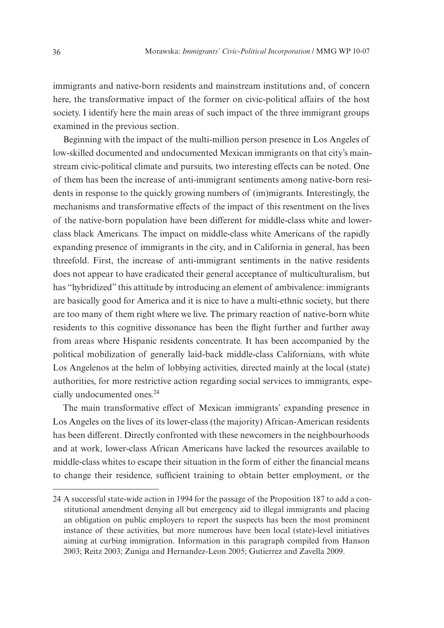immigrants and native-born residents and mainstream institutions and, of concern here, the transformative impact of the former on civic-political affairs of the host society. I identify here the main areas of such impact of the three immigrant groups examined in the previous section.

Beginning with the impact of the multi-million person presence in Los Angeles of low-skilled documented and undocumented Mexican immigrants on that city's mainstream civic-political climate and pursuits, two interesting effects can be noted. One of them has been the increase of anti-immigrant sentiments among native-born residents in response to the quickly growing numbers of (im)migrants. Interestingly, the mechanisms and transformative effects of the impact of this resentment on the lives of the native-born population have been different for middle-class white and lowerclass black Americans. The impact on middle-class white Americans of the rapidly expanding presence of immigrants in the city, and in California in general, has been threefold. First, the increase of anti-immigrant sentiments in the native residents does not appear to have eradicated their general acceptance of multiculturalism, but has "hybridized" this attitude by introducing an element of ambivalence: immigrants are basically good for America and it is nice to have a multi-ethnic society, but there are too many of them right where we live. The primary reaction of native-born white residents to this cognitive dissonance has been the flight further and further away from areas where Hispanic residents concentrate. It has been accompanied by the political mobilization of generally laid-back middle-class Californians, with white Los Angelenos at the helm of lobbying activities, directed mainly at the local (state) authorities, for more restrictive action regarding social services to immigrants, especially undocumented ones.<sup>24</sup>

The main transformative effect of Mexican immigrants' expanding presence in Los Angeles on the lives of its lower-class (the majority) African-American residents has been different. Directly confronted with these newcomers in the neighbourhoods and at work, lower-class African Americans have lacked the resources available to middle-class whites to escape their situation in the form of either the financial means to change their residence, sufficient training to obtain better employment, or the

<sup>24</sup> A successful state-wide action in 1994 for the passage of the Proposition 187 to add a constitutional amendment denying all but emergency aid to illegal immigrants and placing an obligation on public employers to report the suspects has been the most prominent instance of these activities, but more numerous have been local (state)-level initiatives aiming at curbing immigration. Information in this paragraph compiled from Hanson 2003; Reitz 2003; Zuniga and Hernandez-Leon 2005; Gutierrez and Zavella 2009.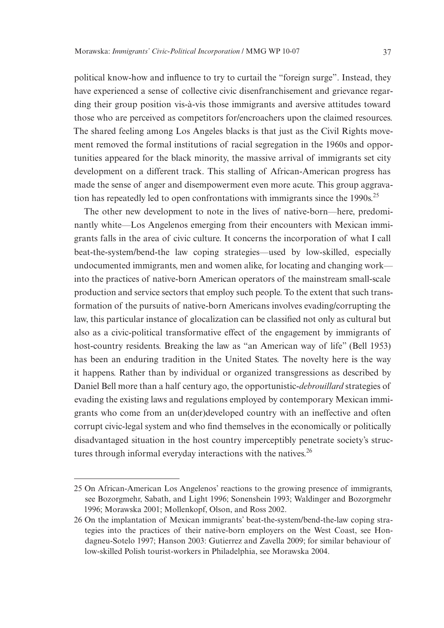political know-how and influence to try to curtail the "foreign surge". Instead, they have experienced a sense of collective civic disenfranchisement and grievance regarding their group position vis-à-vis those immigrants and aversive attitudes toward those who are perceived as competitors for/encroachers upon the claimed resources. The shared feeling among Los Angeles blacks is that just as the Civil Rights movement removed the formal institutions of racial segregation in the 1960s and opportunities appeared for the black minority, the massive arrival of immigrants set city development on a different track. This stalling of African-American progress has made the sense of anger and disempowerment even more acute. This group aggravation has repeatedly led to open confrontations with immigrants since the 1990s.<sup>25</sup>

The other new development to note in the lives of native-born—here, predominantly white—Los Angelenos emerging from their encounters with Mexican immigrants falls in the area of civic culture. It concerns the incorporation of what I call beat-the-system/bend-the law coping strategies—used by low-skilled, especially undocumented immigrants, men and women alike, for locating and changing work into the practices of native-born American operators of the mainstream small-scale production and service sectors that employ such people. To the extent that such transformation of the pursuits of native-born Americans involves evading/corrupting the law, this particular instance of glocalization can be classified not only as cultural but also as a civic-political transformative effect of the engagement by immigrants of host-country residents. Breaking the law as "an American way of life" (Bell 1953) has been an enduring tradition in the United States. The novelty here is the way it happens. Rather than by individual or organized transgressions as described by Daniel Bell more than a half century ago, the opportunistic-*debrouillard* strategies of evading the existing laws and regulations employed by contemporary Mexican immigrants who come from an un(der)developed country with an ineffective and often corrupt civic-legal system and who find themselves in the economically or politically disadvantaged situation in the host country imperceptibly penetrate society's structures through informal everyday interactions with the natives. $26$ 

<sup>25</sup> On African-American Los Angelenos' reactions to the growing presence of immigrants, see Bozorgmehr, Sabath, and Light 1996; Sonenshein 1993; Waldinger and Bozorgmehr 1996; Morawska 2001; Mollenkopf, Olson, and Ross 2002.

<sup>26</sup> On the implantation of Mexican immigrants' beat-the-system/bend-the-law coping strategies into the practices of their native-born employers on the West Coast, see Hondagneu-Sotelo 1997; Hanson 2003: Gutierrez and Zavella 2009; for similar behaviour of low-skilled Polish tourist-workers in Philadelphia, see Morawska 2004.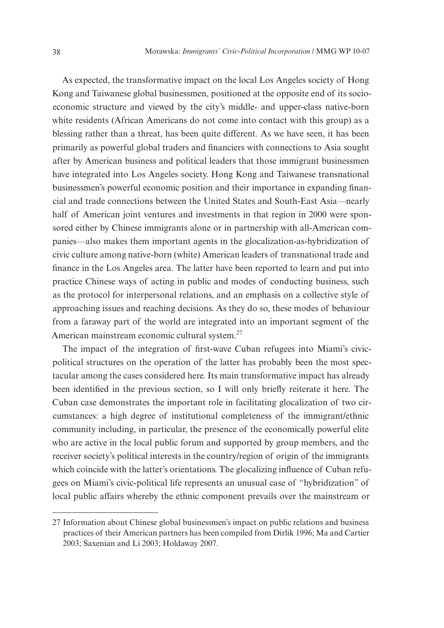As expected, the transformative impact on the local Los Angeles society of Hong Kong and Taiwanese global businessmen, positioned at the opposite end of its socioeconomic structure and viewed by the city's middle- and upper-class native-born white residents (African Americans do not come into contact with this group) as a blessing rather than a threat, has been quite different. As we have seen, it has been primarily as powerful global traders and financiers with connections to Asia sought after by American business and political leaders that those immigrant businessmen have integrated into Los Angeles society. Hong Kong and Taiwanese transnational businessmen's powerful economic position and their importance in expanding financial and trade connections between the United States and South-East Asia—nearly half of American joint ventures and investments in that region in 2000 were sponsored either by Chinese immigrants alone or in partnership with all-American companies—also makes them important agents in the glocalization-as-hybridization of civic culture among native-born (white) American leaders of transnational trade and finance in the Los Angeles area. The latter have been reported to learn and put into practice Chinese ways of acting in public and modes of conducting business, such as the protocol for interpersonal relations, and an emphasis on a collective style of approaching issues and reaching decisions. As they do so, these modes of behaviour from a faraway part of the world are integrated into an important segment of the American mainstream economic cultural system.<sup>27</sup>

The impact of the integration of first-wave Cuban refugees into Miami's civicpolitical structures on the operation of the latter has probably been the most spectacular among the cases considered here. Its main transformative impact has already been identified in the previous section, so I will only briefly reiterate it here. The Cuban case demonstrates the important role in facilitating glocalization of two circumstances: a high degree of institutional completeness of the immigrant/ethnic community including, in particular, the presence of the economically powerful elite who are active in the local public forum and supported by group members, and the receiver society's political interests in the country/region of origin of the immigrants which coincide with the latter's orientations. The glocalizing influence of Cuban refugees on Miami's civic-political life represents an unusual case of "hybridization" of local public affairs whereby the ethnic component prevails over the mainstream or

<sup>27</sup> Information about Chinese global businessmen's impact on public relations and business practices of their American partners has been compiled from Dirlik 1996; Ma and Cartier 2003; Saxenian and Li 2003; Holdaway 2007.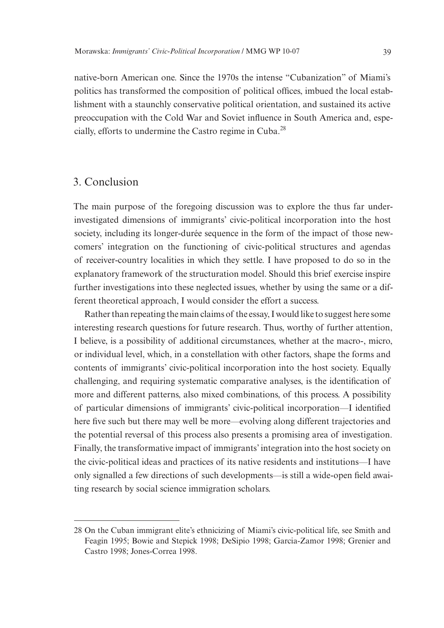native-born American one. Since the 1970s the intense "Cubanization" of Miami's politics has transformed the composition of political offices, imbued the local establishment with a staunchly conservative political orientation, and sustained its active preoccupation with the Cold War and Soviet influence in South America and, especially, efforts to undermine the Castro regime in Cuba.28

# 3. Conclusion

The main purpose of the foregoing discussion was to explore the thus far underinvestigated dimensions of immigrants' civic-political incorporation into the host society, including its longer-durée sequence in the form of the impact of those newcomers' integration on the functioning of civic-political structures and agendas of receiver-country localities in which they settle. I have proposed to do so in the explanatory framework of the structuration model. Should this brief exercise inspire further investigations into these neglected issues, whether by using the same or a different theoretical approach, I would consider the effort a success.

Rather than repeating the main claims of the essay, I would like to suggest here some interesting research questions for future research. Thus, worthy of further attention, I believe, is a possibility of additional circumstances, whether at the macro-, micro, or individual level, which, in a constellation with other factors, shape the forms and contents of immigrants' civic-political incorporation into the host society. Equally challenging, and requiring systematic comparative analyses, is the identification of more and different patterns, also mixed combinations, of this process. A possibility of particular dimensions of immigrants' civic-political incorporation—I identified here five such but there may well be more—evolving along different trajectories and the potential reversal of this process also presents a promising area of investigation. Finally, the transformative impact of immigrants' integration into the host society on the civic-political ideas and practices of its native residents and institutions—I have only signalled a few directions of such developments—is still a wide-open field awaiting research by social science immigration scholars.

<sup>28</sup> On the Cuban immigrant elite's ethnicizing of Miami's civic-political life, see Smith and Feagin 1995; Bowie and Stepick 1998; DeSipio 1998; Garcia-Zamor 1998; Grenier and Castro 1998; Jones-Correa 1998.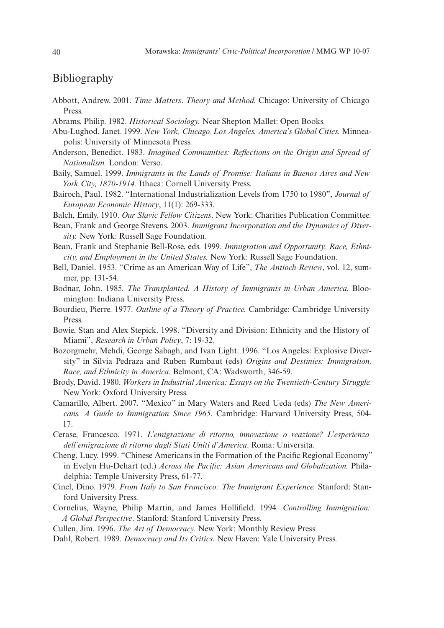## **Bibliography**

- Abbott, Andrew. 2001. *Time Matters*. *Theory and Method.* Chicago: University of Chicago Press.
- Abrams, Philip. 1982. *Historical Sociology.* Near Shepton Mallet: Open Books.
- Abu-Lughod, Janet. 1999. *New York, Chicago, Los Angeles. America's Global Cities.* Minneapolis: University of Minnesota Press.
- Anderson, Benedict. 1983. *Imagined Communities: Reflections on the Origin and Spread of Nationalism.* London: Verso.
- Baily, Samuel. 1999. *Immigrants in the Lands of Promise: Italians in Buenos Aires and New York City, 1870-1914.* Ithaca: Cornell University Press.
- Bairoch, Paul. 1982. "International Industrialization Levels from 1750 to 1980", *Journal of European Economic History*, 11(1): 269-333.
- Balch, Emily. 1910. *Our Slavic Fellow Citizens*. New York: Charities Publication Committee.
- Bean, Frank and George Stevens. 2003. *Immigrant Incorporation and the D*y*namics of Diversity.* New York: Russell Sage Foundation.
- Bean, Frank and Stephanie Bell-Rose, eds. 1999. *Immigration and Opportunity. Race, Ethnicity, and Employment in the United States.* New York: Russell Sage Foundation.
- Bell, Daniel. 1953. "Crime as an American Way of Life", *The Antioch Review*, vol. 12, summer, pp. 131-54.
- Bodnar, John. 1985*. The Transplanted. A History of Immigrants in Urban America.* Bloomington: Indiana University Press.
- Bourdieu, Pierre. 1977. *Outline of a Theory of Practice.* Cambridge: Cambridge University Press.
- Bowie, Stan and Alex Stepick. 1998. "Diversity and Division: Ethnicity and the History of Miami", *Research in Urban Policy*, 7: 19-32.
- Bozorgmehr, Mehdi, George Sabagh, and Ivan Light. 1996. "Los Angeles: Explosive Diversity" in Silvia Pedraza and Ruben Rumbaut (eds) *Origins and Destinies: Immigration, Race, and Ethnicity in America*. Belmont, CA: Wadsworth, 346-59.
- Brody, David. 1980. *Workers in Industrial America: Essays on the Twentieth-Century Struggle.* New York: Oxford University Press.
- Camarillo, Albert. 2007. "Mexico" in Mary Waters and Reed Ueda (eds) *The New Americans. A Guide to Immigration Since 1965*. Cambridge: Harvard University Press, 504- 17.
- Cerase, Francesco. 1971. *L'emigrazione di ritorno, innovazione o reazione? L'esperienza dell'emigrazione di ritorno dagli Stati Uniti d'America*. Roma: Universita.
- Cheng, Lucy. 1999. "Chinese Americans in the Formation of the Pacific Regional Economy" in Evelyn Hu-Dehart (ed.) *Across the Pacific: Asian Americans and Globalization.* Philadelphia: Temple University Press, 61-77.
- Cinel, Dino. 1979. *From Italy to San Francisco: The Immigrant Experience.* Stanford: Stanford University Press.
- Cornelius, Wayne, Philip Martin, and James Hollifield. 1994*. Controlling Immigration: A Global Perspective*. Stanford: Stanford University Press.
- Cullen, Jim. 1996. *The Art of Democracy.* New York: Monthly Review Press.
- Dahl, Robert. 1989. *Democracy and Its Critics*. New Haven: Yale University Press.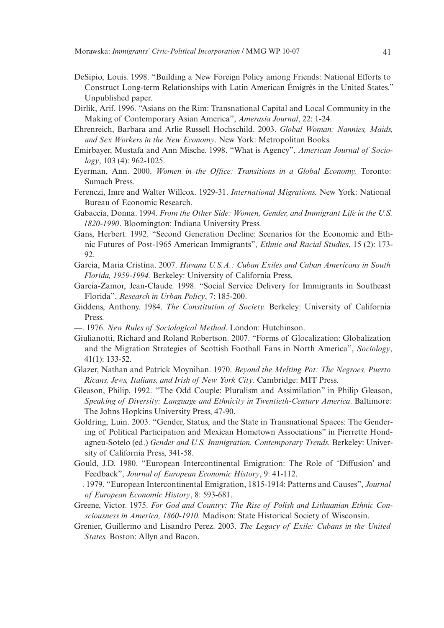- DeSipio, Louis. 1998. "Building a New Foreign Policy among Friends: National Efforts to Construct Long-term Relationships with Latin American Émigrés in the United States." Unpublished paper.
- Dirlik, Arif. 1996. "Asians on the Rim: Transnational Capital and Local Community in the Making of Contemporary Asian America", *Amerasia Journal*, 22: 1-24.
- Ehrenreich, Barbara and Arlie Russell Hochschild. 2003. *Global Woman: Nannies, Maids, and Sex Workers in the New Economy*. New York: Metropolitan Books.
- Emirbayer, Mustafa and Ann Mische. 1998. "What is Agency", *American Journal of Sociology*, 103 (4): 962-1025.
- Eyerman, Ann. 2000. *Women in the Office: Transitions in a Global Economy.* Toronto: Sumach Press.
- Ferenczi, Imre and Walter Willcox. 1929-31. *International Migrations.* New York: National Bureau of Economic Research.
- Gabaccia, Donna. 1994. *From the Other Side: Women, Gender, and Immigrant Life in the U.S. 1820-1990*. Bloomington: Indiana University Press.
- Gans, Herbert. 1992. "Second Generation Decline: Scenarios for the Economic and Ethnic Futures of Post-1965 American Immigrants", *Ethnic and Racial Studies*, 15 (2): 173- 92.
- Garcia, Maria Cristina. 2007. *Havana U.S.A.: Cuban Exiles and Cuban Americans in South Florida, 1959-1994.* Berkeley: University of California Press.
- Garcia-Zamor, Jean-Claude. 1998. "Social Service Delivery for Immigrants in Southeast Florida", *Research in Urban Policy*, 7: 185-200.
- Giddens, Anthony. 1984. *The Constitution of Society.* Berkeley: University of California Press.
- —. 1976. *New Rules of Sociological Method*. London: Hutchinson.
- Giulianotti, Richard and Roland Robertson. 2007. "Forms of Glocalization: Globalization and the Migration Strategies of Scottish Football Fans in North America", *Sociology*, 41(1): 133-52.
- Glazer, Nathan and Patrick Moynihan. 1970. *Beyond the Melting Pot: The Negroes, Puerto Ricans, Jews, Italians, and Irish of New York City*. Cambridge: MIT Press.
- Gleason, Philip. 1992. "The Odd Couple: Pluralism and Assimilation" in Philip Gleason, *Speaking of Diversity: Language and Ethnicity in Twentieth-Century America*. Baltimore: The Johns Hopkins University Press, 47-90.
- Goldring, Luin. 2003. "Gender, Status, and the State in Transnational Spaces: The Gendering of Political Participation and Mexican Hometown Associations" in Pierrette Hondagneu-Sotelo (ed.) *Gender and U.S. Immigration. Contemporary Trends.* Berkeley: University of California Press, 341-58.
- Gould, J.D. 1980. "European Intercontinental Emigration: The Role of 'Diffusion' and Feedback", *Journal of European Economic History*, 9: 41-112.
- —. 1979. "European Intercontinental Emigration, 1815-1914: Patterns and Causes", *Journal of European Economic History*, 8: 593-681.
- Greene, Victor. 1975. *For God and Country: The Rise of Polish and Lithuanian Ethnic Consciousness in America, 1860-1910.* Madison: State Historical Society of Wisconsin.
- Grenier, Guillermo and Lisandro Perez. 2003. *The Legacy of Exile: Cubans in the United States.* Boston: Allyn and Bacon.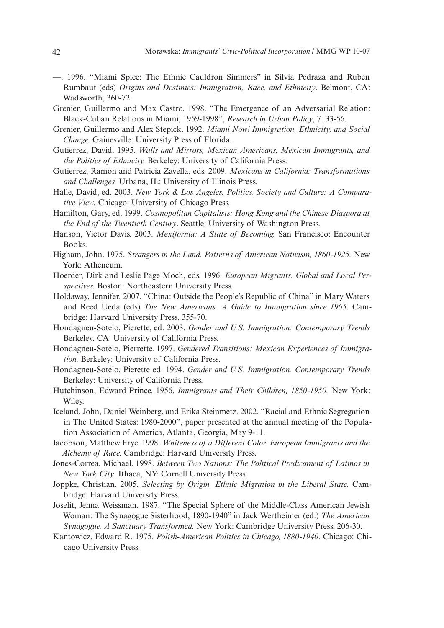- —. 1996. "Miami Spice: The Ethnic Cauldron Simmers" in Silvia Pedraza and Ruben Rumbaut (eds) *Origins and Destinies: Immigration, Race, and Ethnicity*. Belmont, CA: Wadsworth, 360-72.
- Grenier, Guillermo and Max Castro. 1998. "The Emergence of an Adversarial Relation: Black-Cuban Relations in Miami, 1959-1998", *Research in Urban Policy*, 7: 33-56.
- Grenier, Guillermo and Alex Stepick. 1992. *Miami Now! Immigration, Ethnicity, and Social Change.* Gainesville: University Press of Florida.
- Gutierrez, David. 1995. *Walls and Mirrors, Mexican Americans, Mexican Immigrants, and the Politics of Ethnicity.* Berkeley: University of California Press.
- Gutierrez, Ramon and Patricia Zavella, eds. 2009. *Mexicans in California: Transformations and Challenges.* Urbana, IL: University of Illinois Press.
- Halle, David, ed. 2003. *New York & Los Angeles. Politics, Society and Culture: A Comparative View.* Chicago: University of Chicago Press.
- Hamilton, Gary, ed. 1999. *Cosmopolitan Capitalists: Hong Kong and the Chinese Diaspora at the End of the Twentieth Century*. Seattle: University of Washington Press.
- Hanson, Victor Davis. 2003. *Mexifornia: A State of Becoming.* San Francisco: Encounter Books.
- Higham, John. 1975. *Strangers in the Land. Patterns of American Nativism, 1860-1925.* New York: Atheneum.
- Hoerder, Dirk and Leslie Page Moch, eds. 1996. *European Migrants. Global and Local Perspectives.* Boston: Northeastern University Press.
- Holdaway, Jennifer. 2007. "China: Outside the People's Republic of China" in Mary Waters and Reed Ueda (eds) *The New Americans: A Guide to Immigration since 1965*. Cambridge: Harvard University Press, 355-70.
- Hondagneu-Sotelo, Pierette, ed. 2003. *Gender and U.S. Immigration: Contemporary Trends.*  Berkeley, CA: University of California Press.
- Hondagneu-Sotelo, Pierrette. 1997. *Gendered Transitions: Mexican Experiences of Immigration.* Berkeley: University of California Press.
- Hondagneu-Sotelo, Pierette ed. 1994. *Gender and U.S. Immigration. Contemporary Trends.*  Berkeley: University of California Press.
- Hutchinson, Edward Prince. 1956. *Immigrants and Their Children, 1850-1950.* New York: Wiley.
- Iceland, John, Daniel Weinberg, and Erika Steinmetz. 2002. "Racial and Ethnic Segregation in The United States: 1980-2000", paper presented at the annual meeting of the Population Association of America, Atlanta, Georgia, May 9-11.
- Jacobson, Matthew Frye. 1998. *Whiteness of a Different Color. European Immigrants and the Alchemy of Race.* Cambridge: Harvard University Press.
- Jones-Correa, Michael. 1998. *Between Two Nations: The Political Predicament of Latinos in New York City*. Ithaca, NY: Cornell University Press.
- Joppke, Christian. 2005. *Selecting by Origin. Ethnic Migration in the Liberal State.* Cambridge: Harvard University Press.
- Joselit, Jenna Weissman. 1987. "The Special Sphere of the Middle-Class American Jewish Woman: The Synagogue Sisterhood, 1890-1940" in Jack Wertheimer (ed.) *The American Synagogue. A Sanctuary Transformed.* New York: Cambridge University Press, 206-30.
- Kantowicz, Edward R. 1975. *Polish-American Politics in Chicago, 1880-1940*. Chicago: Chicago University Press.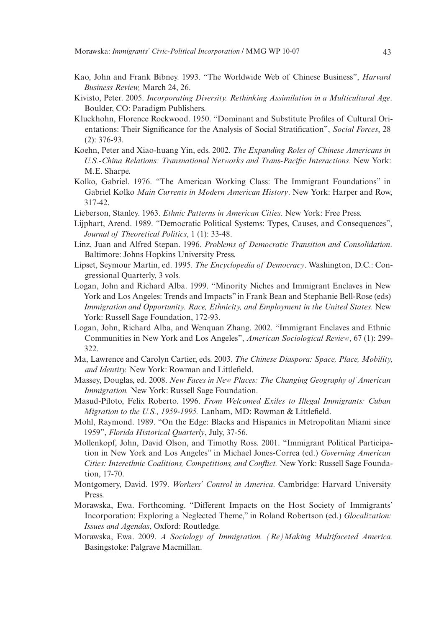- Kao, John and Frank Bibney. 1993. "The Worldwide Web of Chinese Business", *Harvard Business Review,* March 24, 26.
- Kivisto, Peter. 2005. *Incorporating Diversity. Rethinking Assimilation in a Multicultural Age*. Boulder, CO: Paradigm Publishers.
- Kluckhohn, Florence Rockwood. 1950. "Dominant and Substitute Profiles of Cultural Orientations: Their Significance for the Analysis of Social Stratification", *Social Forces*, 28 (2): 376-93.
- Koehn, Peter and Xiao-huang Yin, eds. 2002. *The Expanding Roles of Chinese Americans in U.S.-China Relations: Transnational Networks and Trans-Pacific Interactions.* New York: M.E. Sharpe.
- Kolko, Gabriel. 1976. "The American Working Class: The Immigrant Foundations" in Gabriel Kolko *Main Currents in Modern American History*. New York: Harper and Row, 317-42.
- Lieberson, Stanley. 1963. *Ethnic Patterns in American Cities*. New York: Free Press.
- Lijphart, Arend. 1989. "Democratic Political Systems: Types, Causes, and Consequences", *Journal of Theoretical Politics*, 1 (1): 33-48.
- Linz, Juan and Alfred Stepan. 1996. *Problems of Democratic Transition and Consolidation*. Baltimore: Johns Hopkins University Press.
- Lipset, Seymour Martin, ed. 1995. *The Encyclopedia of Democracy*. Washington, D.C.: Congressional Quarterly, 3 vols.
- Logan, John and Richard Alba. 1999. "Minority Niches and Immigrant Enclaves in New York and Los Angeles: Trends and Impacts" in Frank Bean and Stephanie Bell-Rose (eds) *Immigration and Opportunity. Race, Ethnicity, and Employment in the United States.* New York: Russell Sage Foundation, 172-93.
- Logan, John, Richard Alba, and Wenquan Zhang. 2002. "Immigrant Enclaves and Ethnic Communities in New York and Los Angeles", *American Sociological Review*, 67 (1): 299- 322.
- Ma, Lawrence and Carolyn Cartier, eds. 2003. *The Chinese Diaspora: Space, Place, Mobility, and Identity.* New York: Rowman and Littlefield.
- Massey, Douglas, ed. 2008. *New Faces in New Places: The Changing Geography of American Immigration.* New York: Russell Sage Foundation.
- Masud-Piloto, Felix Roberto. 1996. *From Welcomed Exiles to Illegal Immigrants: Cuban Migration to the U.S., 1959-1995.* Lanham, MD: Rowman & Littlefield.
- Mohl, Raymond. 1989. "On the Edge: Blacks and Hispanics in Metropolitan Miami since 1959", *Florida Historical Quarterly*, July, 37-56.
- Mollenkopf, John, David Olson, and Timothy Ross. 2001. "Immigrant Political Participation in New York and Los Angeles" in Michael Jones-Correa (ed.) *Governing American Cities: Interethnic Coalitions, Competitions, and Conflict.* New York: Russell Sage Foundation, 17-70.
- Montgomery, David. 1979. *Workers' Control in America*. Cambridge: Harvard University Press.
- Morawska, Ewa. Forthcoming. "Different Impacts on the Host Society of Immigrants' Incorporation: Exploring a Neglected Theme," in Roland Robertson (ed.) *Glocalization: Issues and Agendas*, Oxford: Routledge.
- Morawska, Ewa. 2009. *A Sociology of Immigration. (Re)Making Multifaceted America.* Basingstoke: Palgrave Macmillan.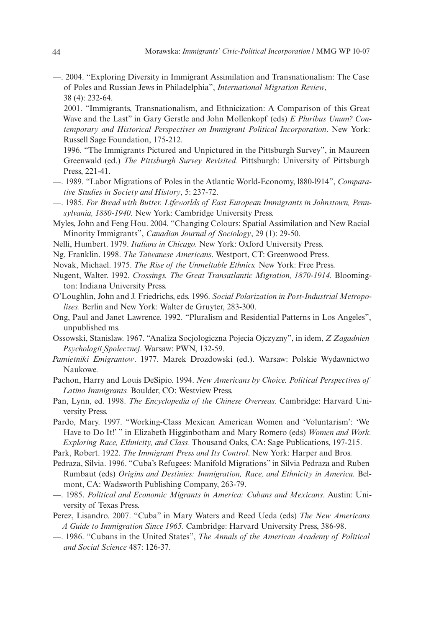- —. 2004. "Exploring Diversity in Immigrant Assimilation and Transnationalism: The Case of Poles and Russian Jews in Philadelphia", *International Migration Review*, 38 (4): 232-64.
- 2001. "Immigrants, Transnationalism, and Ethnicization: A Comparison of this Great Wave and the Last" in Gary Gerstle and John Mollenkopf (eds) *E Pluribus Unum? Contemporary and Historical Perspectives on Immigrant Political Incorporation*. New York: Russell Sage Foundation, 175-212.
- 1996. "The Immigrants Pictured and Unpictured in the Pittsburgh Survey", in Maureen Greenwald (ed.) *The Pittsburgh Survey Revisited.* Pittsburgh: University of Pittsburgh Press, 221-41.
- —. 1989. "Labor Migrations of Poles in the Atlantic World-Economy, l880-l914", *Comparative Studies in Society and History*, 5: 237-72.
- —. 1985. *For Bread with Butter. Lifeworlds of East European Immigrants in Johnstown, Pennsylvania, 1880-1940.* New York: Cambridge University Press.
- Myles, John and Feng Hou. 2004. "Changing Colours: Spatial Assimilation and New Racial Minority Immigrants", *Canadian Journal of Sociology*, 29 (1): 29-50.
- Nelli, Humbert. 1979. *Italians in Chicago.* New York: Oxford University Press.
- Ng, Franklin. 1998. *The Taiwanese Americans*. Westport, CT: Greenwood Press.
- Novak, Michael. 1975. *The Rise of the Unmeltable Ethnics.* New York: Free Press.
- Nugent, Walter. 1992. *Crossings. The Great Transatlantic Migration, 1870-1914.* Bloomington: Indiana University Press.
- O'Loughlin, John and J. Friedrichs, eds. 1996. *Social Polarization in Post-Industrial Metropolises.* Berlin and New York: Walter de Gruyter, 283-300.
- Ong, Paul and Janet Lawrence. 1992. "Pluralism and Residential Patterns in Los Angeles", unpublished ms.
- Ossowski, Stanislaw. 1967. "Analiza Socjologiczna Pojecia Ojczyzny", in idem, *Z Zagadnien Psychologii Spolecznej*. Warsaw: PWN, 132-59.
- *Pamietniki Emigrantow*. 1977. Marek Drozdowski (ed.). Warsaw: Polskie Wydawnictwo Naukowe.
- Pachon, Harry and Louis DeSipio. 1994. *New Americans by Choice. Political Perspectives of Latino Immigrants.* Boulder, CO: Westview Press.
- Pan, Lynn, ed. 1998. *The Encyclopedia of the Chinese Overseas*. Cambridge: Harvard University Press.
- Pardo, Mary. 1997. "Working-Class Mexican American Women and 'Voluntarism': 'We Have to Do It!' " in Elizabeth Higginbotham and Mary Romero (eds) *Women and Work. Exploring Race, Ethnicity, and Class.* Thousand Oaks, CA: Sage Publications, 197-215.
- Park, Robert. 1922. *The Immigrant Press and Its Control*. New York: Harper and Bros.
- Pedraza, Silvia. 1996. "Cuba's Refugees: Manifold Migrations" in Silvia Pedraza and Ruben Rumbaut (eds) *Origins and Destinies: Immigration, Race, and Ethnicity in America.* Belmont, CA: Wadsworth Publishing Company, 263-79.
- —. 1985. *Political and Economic Migrants in America: Cubans and Mexicans*. Austin: University of Texas Press.
- Perez, Lisandro. 2007. "Cuba" in Mary Waters and Reed Ueda (eds) *The New Americans. A Guide to Immigration Since 1965.* Cambridge: Harvard University Press, 386-98.
- —. 1986. "Cubans in the United States", *The Annals of the American Academy of Political and Social Science* 487: 126-37.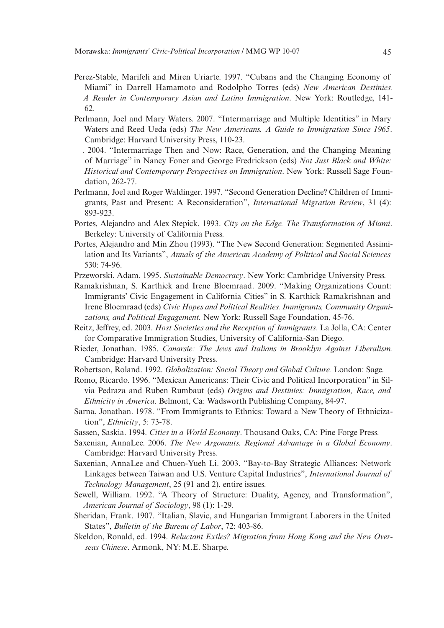- Perez-Stable, Marifeli and Miren Uriarte. 1997. "Cubans and the Changing Economy of Miami" in Darrell Hamamoto and Rodolpho Torres (eds) *New American Destinies. A Reader in Contemporary Asian and Latino Immigration*. New York: Routledge, 141- 62.
- Perlmann, Joel and Mary Waters. 2007. "Intermarriage and Multiple Identities" in Mary Waters and Reed Ueda (eds) *The New Americans. A Guide to Immigration Since 1965*. Cambridge: Harvard University Press, 110-23.
- —. 2004. "Intermarriage Then and Now: Race, Generation, and the Changing Meaning of Marriage" in Nancy Foner and George Fredrickson (eds) *Not Just Black and White: Historical and Contemporary Perspectives on Immigration*. New York: Russell Sage Foundation, 262-77.
- Perlmann, Joel and Roger Waldinger. 1997. "Second Generation Decline? Children of Immigrants, Past and Present: A Reconsideration", *International Migration Review*, 31 (4): 893-923.
- Portes, Alejandro and Alex Stepick. 1993. *City on the Edge. The Transformation of Miami*. Berkeley: University of California Press.
- Portes, Alejandro and Min Zhou (1993). "The New Second Generation: Segmented Assimilation and Its Variants", *Annals of the American Academy of Political and Social Sciences* 530: 74-96.
- Przeworski, Adam. 1995. *Sustainable Democracy*. New York: Cambridge University Press.
- Ramakrishnan, S. Karthick and Irene Bloemraad. 2009. "Making Organizations Count: Immigrants' Civic Engagement in California Cities" in S. Karthick Ramakrishnan and Irene Bloemraad (eds) *Civic Hopes and Political Realities. Immigrants, Community Organizations, and Political Engagement.* New York: Russell Sage Foundation, 45-76.
- Reitz, Jeffrey, ed. 2003. *Host Societies and the Reception of Immigrants.* La Jolla, CA: Center for Comparative Immigration Studies, University of California-San Diego.
- Rieder, Jonathan. 1985. *Canarsie: The Jews and Italians in Brooklyn Against Liberalism.*  Cambridge: Harvard University Press.
- Robertson, Roland. 1992. *Globalization: Social Theory and Global Culture.* London: Sage.
- Romo, Ricardo. 1996. "Mexican Americans: Their Civic and Political Incorporation" in Silvia Pedraza and Ruben Rumbaut (eds) *Origins and Destinies: Immigration, Race, and Ethnicity in America*. Belmont, Ca: Wadsworth Publishing Company, 84-97.
- Sarna, Jonathan. 1978. "From Immigrants to Ethnics: Toward a New Theory of Ethnicization", *Ethnicity*, 5: 73-78.
- Sassen, Saskia. 1994. *Cities in a World Economy*. Thousand Oaks, CA: Pine Forge Press.
- Saxenian, AnnaLee. 2006. *The New Argonauts. Regional Advantage in a Global Economy*. Cambridge: Harvard University Press.
- Saxenian, AnnaLee and Chuen-Yueh Li. 2003. "Bay-to-Bay Strategic Alliances: Network Linkages between Taiwan and U.S. Venture Capital Industries", *International Journal of Technology Management*, 25 (91 and 2), entire issues.
- Sewell, William. 1992. "A Theory of Structure: Duality, Agency, and Transformation", *American Journal of Sociology*, 98 (1): 1-29.
- Sheridan, Frank. 1907. "Italian, Slavic, and Hungarian Immigrant Laborers in the United States", *Bulletin of the Bureau of Labor*, 72: 403-86.
- Skeldon, Ronald, ed. 1994. *Reluctant Exiles? Migration from Hong Kong and the New Overseas Chinese*. Armonk, NY: M.E. Sharpe.